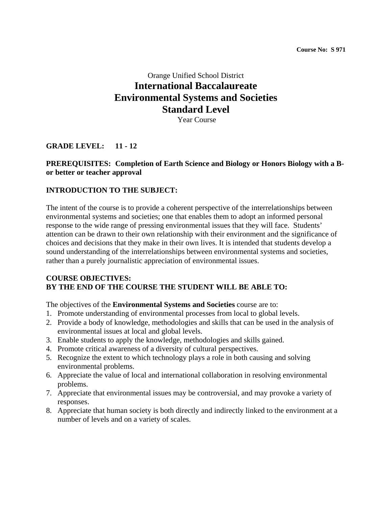# Orange Unified School District **International Baccalaureate Environmental Systems and Societies Standard Level**

Year Course

### **GRADE LEVEL: 11 - 12**

### **PREREQUISITES: Completion of Earth Science and Biology or Honors Biology with a Bor better or teacher approval**

#### **INTRODUCTION TO THE SUBJECT:**

The intent of the course is to provide a coherent perspective of the interrelationships between environmental systems and societies; one that enables them to adopt an informed personal response to the wide range of pressing environmental issues that they will face. Students' attention can be drawn to their own relationship with their environment and the significance of choices and decisions that they make in their own lives. It is intended that students develop a sound understanding of the interrelationships between environmental systems and societies, rather than a purely journalistic appreciation of environmental issues.

#### **COURSE OBJECTIVES: BY THE END OF THE COURSE THE STUDENT WILL BE ABLE TO:**

The objectives of the **Environmental Systems and Societies** course are to:

- 1. Promote understanding of environmental processes from local to global levels.
- 2. Provide a body of knowledge, methodologies and skills that can be used in the analysis of environmental issues at local and global levels.
- 3. Enable students to apply the knowledge, methodologies and skills gained.
- 4. Promote critical awareness of a diversity of cultural perspectives.
- 5. Recognize the extent to which technology plays a role in both causing and solving environmental problems.
- 6. Appreciate the value of local and international collaboration in resolving environmental problems.
- 7. Appreciate that environmental issues may be controversial, and may provoke a variety of responses.
- 8. Appreciate that human society is both directly and indirectly linked to the environment at a number of levels and on a variety of scales.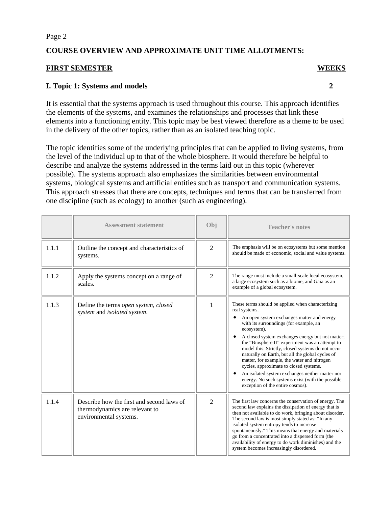### **COURSE OVERVIEW AND APPROXIMATE UNIT TIME ALLOTMENTS:**

#### **FIRST SEMESTER WEEKS**

### **I. Topic 1: Systems and models 2**

It is essential that the systems approach is used throughout this course. This approach identifies the elements of the systems, and examines the relationships and processes that link these elements into a functioning entity. This topic may be best viewed therefore as a theme to be used in the delivery of the other topics, rather than as an isolated teaching topic.

The topic identifies some of the underlying principles that can be applied to living systems, from the level of the individual up to that of the whole biosphere. It would therefore be helpful to describe and analyze the systems addressed in the terms laid out in this topic (wherever possible). The systems approach also emphasizes the similarities between environmental systems, biological systems and artificial entities such as transport and communication systems. This approach stresses that there are concepts, techniques and terms that can be transferred from one discipline (such as ecology) to another (such as engineering).

|       | <b>Assessment statement</b>                                                                           | Obj            | <b>Teacher's notes</b>                                                                                                                                                                                                                                                                                                                                                                                                                                                                                                                                                                                                                     |
|-------|-------------------------------------------------------------------------------------------------------|----------------|--------------------------------------------------------------------------------------------------------------------------------------------------------------------------------------------------------------------------------------------------------------------------------------------------------------------------------------------------------------------------------------------------------------------------------------------------------------------------------------------------------------------------------------------------------------------------------------------------------------------------------------------|
| 1.1.1 | Outline the concept and characteristics of<br>systems.                                                | $\overline{2}$ | The emphasis will be on ecosystems but some mention<br>should be made of economic, social and value systems.                                                                                                                                                                                                                                                                                                                                                                                                                                                                                                                               |
| 1.1.2 | Apply the systems concept on a range of<br>scales.                                                    | $\mathfrak{D}$ | The range must include a small-scale local ecosystem,<br>a large ecosystem such as a biome, and Gaia as an<br>example of a global ecosystem.                                                                                                                                                                                                                                                                                                                                                                                                                                                                                               |
| 1.1.3 | Define the terms open system, closed<br>system and isolated system.                                   | 1              | These terms should be applied when characterizing<br>real systems.<br>An open system exchanges matter and energy<br>with its surroundings (for example, an<br>ecosystem).<br>A closed system exchanges energy but not matter;<br>$\bullet$<br>the "Biosphere II" experiment was an attempt to<br>model this. Strictly, closed systems do not occur<br>naturally on Earth, but all the global cycles of<br>matter, for example, the water and nitrogen<br>cycles, approximate to closed systems.<br>An isolated system exchanges neither matter nor<br>energy. No such systems exist (with the possible<br>exception of the entire cosmos). |
| 1.1.4 | Describe how the first and second laws of<br>thermodynamics are relevant to<br>environmental systems. | $\overline{2}$ | The first law concerns the conservation of energy. The<br>second law explains the dissipation of energy that is<br>then not available to do work, bringing about disorder.<br>The second law is most simply stated as: "In any<br>isolated system entropy tends to increase<br>spontaneously." This means that energy and materials<br>go from a concentrated into a dispersed form (the<br>availability of energy to do work diminishes) and the<br>system becomes increasingly disordered.                                                                                                                                               |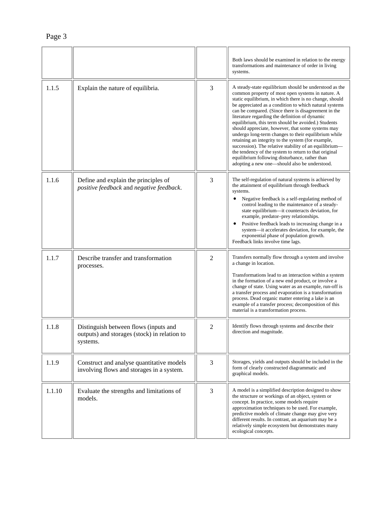|        |                                                                                                   |                | Both laws should be examined in relation to the energy<br>transformations and maintenance of order in living<br>systems.                                                                                                                                                                                                                                                                                                                                                                                                                                                                                                                                                                                                                                                                   |
|--------|---------------------------------------------------------------------------------------------------|----------------|--------------------------------------------------------------------------------------------------------------------------------------------------------------------------------------------------------------------------------------------------------------------------------------------------------------------------------------------------------------------------------------------------------------------------------------------------------------------------------------------------------------------------------------------------------------------------------------------------------------------------------------------------------------------------------------------------------------------------------------------------------------------------------------------|
| 1.1.5  | Explain the nature of equilibria.                                                                 | 3              | A steady-state equilibrium should be understood as the<br>common property of most open systems in nature. A<br>static equilibrium, in which there is no change, should<br>be appreciated as a condition to which natural systems<br>can be compared. (Since there is disagreement in the<br>literature regarding the definition of dynamic<br>equilibrium, this term should be avoided.) Students<br>should appreciate, however, that some systems may<br>undergo long-term changes to their equilibrium while<br>retaining an integrity to the system (for example,<br>succession). The relative stability of an equilibrium-<br>the tendency of the system to return to that original<br>equilibrium following disturbance, rather than<br>adopting a new one—should also be understood. |
| 1.1.6  | Define and explain the principles of<br>positive feedback and negative feedback.                  | 3              | The self-regulation of natural systems is achieved by<br>the attainment of equilibrium through feedback<br>systems.<br>Negative feedback is a self-regulating method of<br>$\bullet$<br>control leading to the maintenance of a steady-<br>state equilibrium-it counteracts deviation, for<br>example, predator-prey relationships.<br>Positive feedback leads to increasing change in a<br>٠<br>system--- it accelerates deviation, for example, the<br>exponential phase of population growth.<br>Feedback links involve time lags.                                                                                                                                                                                                                                                      |
| 1.1.7  | Describe transfer and transformation<br>processes.                                                | $\overline{2}$ | Transfers normally flow through a system and involve<br>a change in location.<br>Transformations lead to an interaction within a system<br>in the formation of a new end product, or involve a<br>change of state. Using water as an example, run-off is<br>a transfer process and evaporation is a transformation<br>process. Dead organic matter entering a lake is an<br>example of a transfer process; decomposition of this<br>material is a transformation process.                                                                                                                                                                                                                                                                                                                  |
| 1.1.8  | Distinguish between flows (inputs and<br>outputs) and storages (stock) in relation to<br>systems. | $\overline{2}$ | Identify flows through systems and describe their<br>direction and magnitude.                                                                                                                                                                                                                                                                                                                                                                                                                                                                                                                                                                                                                                                                                                              |
| 1.1.9  | Construct and analyse quantitative models<br>involving flows and storages in a system.            | 3              | Storages, yields and outputs should be included in the<br>form of clearly constructed diagrammatic and<br>graphical models.                                                                                                                                                                                                                                                                                                                                                                                                                                                                                                                                                                                                                                                                |
| 1.1.10 | Evaluate the strengths and limitations of<br>models.                                              | $\overline{3}$ | A model is a simplified description designed to show<br>the structure or workings of an object, system or<br>concept. In practice, some models require<br>approximation techniques to be used. For example,<br>predictive models of climate change may give very<br>different results. In contrast, an aquarium may be a<br>relatively simple ecosystem but demonstrates many<br>ecological concepts.                                                                                                                                                                                                                                                                                                                                                                                      |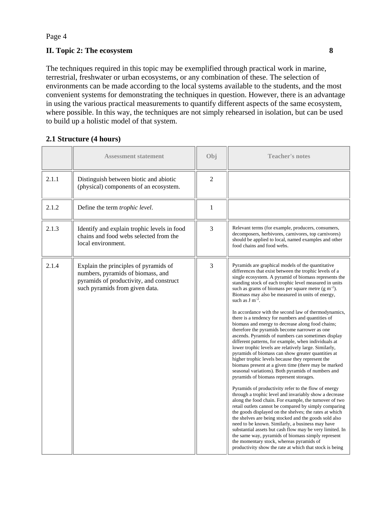### **II. Topic 2: The ecosystem 8 8**

The techniques required in this topic may be exemplified through practical work in marine, terrestrial, freshwater or urban ecosystems, or any combination of these. The selection of environments can be made according to the local systems available to the students, and the most convenient systems for demonstrating the techniques in question. However, there is an advantage in using the various practical measurements to quantify different aspects of the same ecosystem, where possible. In this way, the techniques are not simply rehearsed in isolation, but can be used to build up a holistic model of that system.

 $\overline{a}$ 

 $\mathbf{r}$ 

#### **2.1 Structure (4 hours)**  <u>e a se</u>

|       | <b>Assessment statement</b>                                                                                                                             | Obj            | <b>Teacher's notes</b>                                                                                                                                                                                                                                                                                                                                                                                                                                                                                                                                                                                                                                                                                                                                                                                                                                                                                                                                                                                                                                                                                                                                                                                                                                                                                                                                                                                                                                                                                                                                                                                                                                                |
|-------|---------------------------------------------------------------------------------------------------------------------------------------------------------|----------------|-----------------------------------------------------------------------------------------------------------------------------------------------------------------------------------------------------------------------------------------------------------------------------------------------------------------------------------------------------------------------------------------------------------------------------------------------------------------------------------------------------------------------------------------------------------------------------------------------------------------------------------------------------------------------------------------------------------------------------------------------------------------------------------------------------------------------------------------------------------------------------------------------------------------------------------------------------------------------------------------------------------------------------------------------------------------------------------------------------------------------------------------------------------------------------------------------------------------------------------------------------------------------------------------------------------------------------------------------------------------------------------------------------------------------------------------------------------------------------------------------------------------------------------------------------------------------------------------------------------------------------------------------------------------------|
| 2.1.1 | Distinguish between biotic and abiotic<br>(physical) components of an ecosystem.                                                                        | $\overline{2}$ |                                                                                                                                                                                                                                                                                                                                                                                                                                                                                                                                                                                                                                                                                                                                                                                                                                                                                                                                                                                                                                                                                                                                                                                                                                                                                                                                                                                                                                                                                                                                                                                                                                                                       |
| 2.1.2 | Define the term trophic level.                                                                                                                          | $\mathbf{1}$   |                                                                                                                                                                                                                                                                                                                                                                                                                                                                                                                                                                                                                                                                                                                                                                                                                                                                                                                                                                                                                                                                                                                                                                                                                                                                                                                                                                                                                                                                                                                                                                                                                                                                       |
| 2.1.3 | Identify and explain trophic levels in food<br>chains and food webs selected from the<br>local environment.                                             | 3              | Relevant terms (for example, producers, consumers,<br>decomposers, herbivores, carnivores, top carnivores)<br>should be applied to local, named examples and other<br>food chains and food webs.                                                                                                                                                                                                                                                                                                                                                                                                                                                                                                                                                                                                                                                                                                                                                                                                                                                                                                                                                                                                                                                                                                                                                                                                                                                                                                                                                                                                                                                                      |
| 2.1.4 | Explain the principles of pyramids of<br>numbers, pyramids of biomass, and<br>pyramids of productivity, and construct<br>such pyramids from given data. | 3              | Pyramids are graphical models of the quantitative<br>differences that exist between the trophic levels of a<br>single ecosystem. A pyramid of biomass represents the<br>standing stock of each trophic level measured in units<br>such as grams of biomass per square metre $(g m-2)$ .<br>Biomass may also be measured in units of energy,<br>such as $J m^{-2}$ .<br>In accordance with the second law of thermodynamics,<br>there is a tendency for numbers and quantities of<br>biomass and energy to decrease along food chains;<br>therefore the pyramids become narrower as one<br>ascends. Pyramids of numbers can sometimes display<br>different patterns, for example, when individuals at<br>lower trophic levels are relatively large. Similarly,<br>pyramids of biomass can show greater quantities at<br>higher trophic levels because they represent the<br>biomass present at a given time (there may be marked<br>seasonal variations). Both pyramids of numbers and<br>pyramids of biomass represent storages.<br>Pyramids of productivity refer to the flow of energy<br>through a trophic level and invariably show a decrease<br>along the food chain. For example, the turnover of two<br>retail outlets cannot be compared by simply comparing<br>the goods displayed on the shelves; the rates at which<br>the shelves are being stocked and the goods sold also<br>need to be known. Similarly, a business may have<br>substantial assets but cash flow may be very limited. In<br>the same way, pyramids of biomass simply represent<br>the momentary stock, whereas pyramids of<br>productivity show the rate at which that stock is being |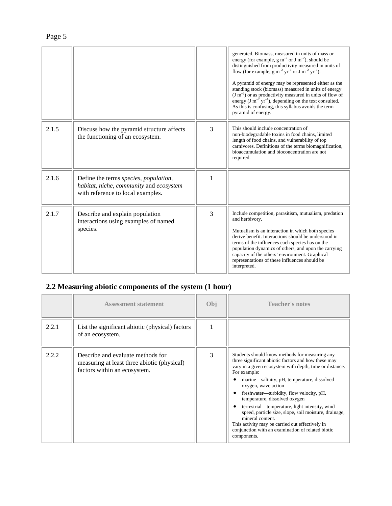|       |                                                                                                                       |   | generated. Biomass, measured in units of mass or<br>energy (for example, $g m^{-2}$ or J m <sup>-2</sup> ), should be<br>distinguished from productivity measured in units of<br>flow (for example, $g m^{-2} yr^{-1}$ or $J m^{-2} yr^{-1}$ ).<br>A pyramid of energy may be represented either as the<br>standing stock (biomass) measured in units of energy<br>$(J m-2)$ or as productivity measured in units of flow of<br>energy (J m <sup>-2</sup> yr <sup>-1</sup> ), depending on the text consulted.<br>As this is confusing, this syllabus avoids the term<br>pyramid of energy. |
|-------|-----------------------------------------------------------------------------------------------------------------------|---|---------------------------------------------------------------------------------------------------------------------------------------------------------------------------------------------------------------------------------------------------------------------------------------------------------------------------------------------------------------------------------------------------------------------------------------------------------------------------------------------------------------------------------------------------------------------------------------------|
| 2.1.5 | Discuss how the pyramid structure affects<br>the functioning of an ecosystem.                                         | 3 | This should include concentration of<br>non-biodegradable toxins in food chains, limited<br>length of food chains, and vulnerability of top<br>carnivores. Definitions of the terms biomagnification,<br>bioaccumulation and bioconcentration are not<br>required.                                                                                                                                                                                                                                                                                                                          |
| 2.1.6 | Define the terms species, population,<br>habitat, niche, community and ecosystem<br>with reference to local examples. | 1 |                                                                                                                                                                                                                                                                                                                                                                                                                                                                                                                                                                                             |
| 2.1.7 | Describe and explain population<br>interactions using examples of named<br>species.                                   | 3 | Include competition, parasitism, mutualism, predation<br>and herbivory.<br>Mutualism is an interaction in which both species<br>derive benefit. Interactions should be understood in<br>terms of the influences each species has on the<br>population dynamics of others, and upon the carrying<br>capacity of the others' environment. Graphical<br>representations of these influences should be<br>interpreted.                                                                                                                                                                          |

## **2.2 Measuring abiotic components of the system (1 hour)**

|       | <b>Assessment statement</b>                                                                                      | Obi | <b>Teacher's notes</b>                                                                                                                                                                                                                                                                                                                                                                                                                                                                                                                                                                    |
|-------|------------------------------------------------------------------------------------------------------------------|-----|-------------------------------------------------------------------------------------------------------------------------------------------------------------------------------------------------------------------------------------------------------------------------------------------------------------------------------------------------------------------------------------------------------------------------------------------------------------------------------------------------------------------------------------------------------------------------------------------|
| 2.2.1 | List the significant abiotic (physical) factors<br>of an ecosystem.                                              |     |                                                                                                                                                                                                                                                                                                                                                                                                                                                                                                                                                                                           |
| 2.2.2 | Describe and evaluate methods for<br>measuring at least three abiotic (physical)<br>factors within an ecosystem. | 3   | Students should know methods for measuring any<br>three significant abiotic factors and how these may<br>vary in a given ecosystem with depth, time or distance.<br>For example:<br>marine—salinity, pH, temperature, dissolved<br>oxygen, wave action<br>freshwater—turbidity, flow velocity, pH,<br>temperature, dissolved oxygen<br>terrestrial—temperature, light intensity, wind<br>speed, particle size, slope, soil moisture, drainage,<br>mineral content.<br>This activity may be carried out effectively in<br>conjunction with an examination of related biotic<br>components. |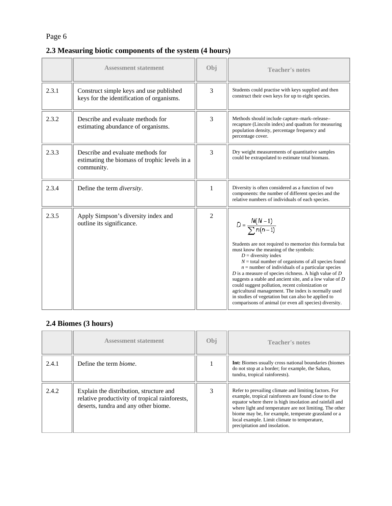## **2.3 Measuring biotic components of the system (4 hours)**

|       | <b>Assessment statement</b>                                                                      | Obi            | <b>Teacher's notes</b>                                                                                                                                                                                                                                                                                                                                                                                                                                                                                                                                                                                                            |
|-------|--------------------------------------------------------------------------------------------------|----------------|-----------------------------------------------------------------------------------------------------------------------------------------------------------------------------------------------------------------------------------------------------------------------------------------------------------------------------------------------------------------------------------------------------------------------------------------------------------------------------------------------------------------------------------------------------------------------------------------------------------------------------------|
| 2.3.1 | Construct simple keys and use published<br>keys for the identification of organisms.             | 3              | Students could practise with keys supplied and then<br>construct their own keys for up to eight species.                                                                                                                                                                                                                                                                                                                                                                                                                                                                                                                          |
| 2.3.2 | Describe and evaluate methods for<br>estimating abundance of organisms.                          | 3              | Methods should include capture-mark-release-<br>recapture (Lincoln index) and quadrats for measuring<br>population density, percentage frequency and<br>percentage cover.                                                                                                                                                                                                                                                                                                                                                                                                                                                         |
| 2.3.3 | Describe and evaluate methods for<br>estimating the biomass of trophic levels in a<br>community. | 3              | Dry weight measurements of quantitative samples<br>could be extrapolated to estimate total biomass.                                                                                                                                                                                                                                                                                                                                                                                                                                                                                                                               |
| 2.3.4 | Define the term <i>diversity</i> .                                                               | 1              | Diversity is often considered as a function of two<br>components: the number of different species and the<br>relative numbers of individuals of each species.                                                                                                                                                                                                                                                                                                                                                                                                                                                                     |
| 2.3.5 | Apply Simpson's diversity index and<br>outline its significance.                                 | $\overline{2}$ | $D = \frac{N(N-1)}{\sum n(n-1)}$<br>Students are not required to memorize this formula but<br>must know the meaning of the symbols:<br>$D =$ diversity index<br>$N =$ total number of organisms of all species found<br>$n =$ number of individuals of a particular species<br>$D$ is a measure of species richness. A high value of $D$<br>suggests a stable and ancient site, and a low value of $D$<br>could suggest pollution, recent colonization or<br>agricultural management. The index is normally used<br>in studies of vegetation but can also be applied to<br>comparisons of animal (or even all species) diversity. |

## **2.4 Biomes (3 hours)**

|       | <b>Assessment statement</b>                                                                                                       | Obi | <b>Teacher's notes</b>                                                                                                                                                                                                                                                                                                                                                      |
|-------|-----------------------------------------------------------------------------------------------------------------------------------|-----|-----------------------------------------------------------------------------------------------------------------------------------------------------------------------------------------------------------------------------------------------------------------------------------------------------------------------------------------------------------------------------|
| 2.4.1 | Define the term <i>hiome</i> .                                                                                                    |     | <b>Int:</b> Biomes usually cross national boundaries (biomes)<br>do not stop at a border; for example, the Sahara,<br>tundra, tropical rainforests).                                                                                                                                                                                                                        |
| 2.4.2 | Explain the distribution, structure and<br>relative productivity of tropical rainforests,<br>deserts, tundra and any other biome. |     | Refer to prevailing climate and limiting factors. For<br>example, tropical rainforests are found close to the<br>equator where there is high insolation and rainfall and<br>where light and temperature are not limiting. The other<br>biome may be, for example, temperate grassland or a<br>local example. Limit climate to temperature,<br>precipitation and insolation. |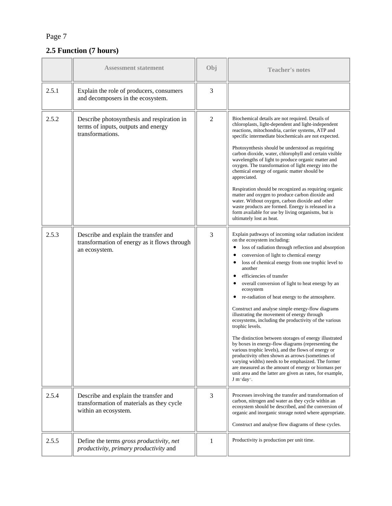## **2.5 Function (7 hours)**

|       | <b>Assessment statement</b>                                                                                | Obj            | <b>Teacher's notes</b>                                                                                                                                                                                                                                                                                                                                                                                                                                                                                                                                                                                                                                                                                                                                                                                                                                                                                                                                                                                                                                                                 |
|-------|------------------------------------------------------------------------------------------------------------|----------------|----------------------------------------------------------------------------------------------------------------------------------------------------------------------------------------------------------------------------------------------------------------------------------------------------------------------------------------------------------------------------------------------------------------------------------------------------------------------------------------------------------------------------------------------------------------------------------------------------------------------------------------------------------------------------------------------------------------------------------------------------------------------------------------------------------------------------------------------------------------------------------------------------------------------------------------------------------------------------------------------------------------------------------------------------------------------------------------|
| 2.5.1 | Explain the role of producers, consumers<br>and decomposers in the ecosystem.                              | 3              |                                                                                                                                                                                                                                                                                                                                                                                                                                                                                                                                                                                                                                                                                                                                                                                                                                                                                                                                                                                                                                                                                        |
| 2.5.2 | Describe photosynthesis and respiration in<br>terms of inputs, outputs and energy<br>transformations.      | $\overline{2}$ | Biochemical details are not required. Details of<br>chloroplasts, light-dependent and light-independent<br>reactions, mitochondria, carrier systems, ATP and<br>specific intermediate biochemicals are not expected.<br>Photosynthesis should be understood as requiring<br>carbon dioxide, water, chlorophyll and certain visible<br>wavelengths of light to produce organic matter and<br>oxygen. The transformation of light energy into the<br>chemical energy of organic matter should be<br>appreciated.<br>Respiration should be recognized as requiring organic<br>matter and oxygen to produce carbon dioxide and<br>water. Without oxygen, carbon dioxide and other<br>waste products are formed. Energy is released in a<br>form available for use by living organisms, but is<br>ultimately lost as heat.                                                                                                                                                                                                                                                                  |
| 2.5.3 | Describe and explain the transfer and<br>transformation of energy as it flows through<br>an ecosystem.     | 3              | Explain pathways of incoming solar radiation incident<br>on the ecosystem including:<br>loss of radiation through reflection and absorption<br>$\bullet$<br>conversion of light to chemical energy<br>$\bullet$<br>loss of chemical energy from one trophic level to<br>$\bullet$<br>another<br>efficiencies of transfer<br>overall conversion of light to heat energy by an<br>ecosystem<br>re-radiation of heat energy to the atmosphere.<br>$\bullet$<br>Construct and analyse simple energy-flow diagrams<br>illustrating the movement of energy through<br>ecosystems, including the productivity of the various<br>trophic levels.<br>The distinction between storages of energy illustrated<br>by boxes in energy-flow diagrams (representing the<br>various trophic levels), and the flows of energy or<br>productivity often shown as arrows (sometimes of<br>varying widths) needs to be emphasized. The former<br>are measured as the amount of energy or biomass per<br>unit area and the latter are given as rates, for example,<br>J m <sup>-2</sup> day <sup>-1</sup> . |
| 2.5.4 | Describe and explain the transfer and<br>transformation of materials as they cycle<br>within an ecosystem. | 3              | Processes involving the transfer and transformation of<br>carbon, nitrogen and water as they cycle within an<br>ecosystem should be described, and the conversion of<br>organic and inorganic storage noted where appropriate.<br>Construct and analyse flow diagrams of these cycles.                                                                                                                                                                                                                                                                                                                                                                                                                                                                                                                                                                                                                                                                                                                                                                                                 |
| 2.5.5 | Define the terms gross productivity, net<br>productivity, primary productivity and                         | 1              | Productivity is production per unit time.                                                                                                                                                                                                                                                                                                                                                                                                                                                                                                                                                                                                                                                                                                                                                                                                                                                                                                                                                                                                                                              |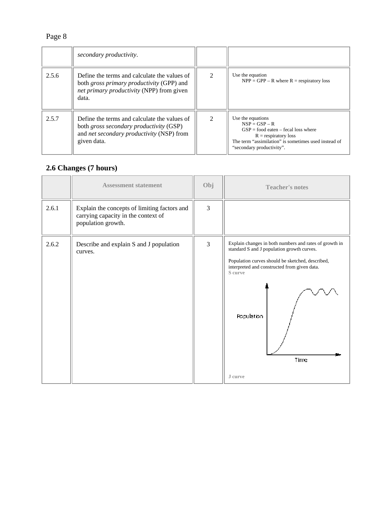|       | secondary productivity.                                                                                                                             |                |                                                                                                                                                                                              |
|-------|-----------------------------------------------------------------------------------------------------------------------------------------------------|----------------|----------------------------------------------------------------------------------------------------------------------------------------------------------------------------------------------|
| 2.5.6 | Define the terms and calculate the values of<br>both gross primary productivity (GPP) and<br>net primary productivity (NPP) from given<br>data.     | $\mathfrak{D}$ | Use the equation<br>$NPP = GPP - R$ where $R =$ respiratory loss                                                                                                                             |
| 2.5.7 | Define the terms and calculate the values of<br>both gross secondary productivity (GSP)<br>and net secondary productivity (NSP) from<br>given data. | $\mathcal{D}$  | Use the equations<br>$NSP = GSP - R$<br>$GSP =$ food eaten – fecal loss where<br>$R =$ respiratory loss<br>The term "assimilation" is sometimes used instead of<br>"secondary productivity". |

### **2.6 Changes (7 hours)**

|       | <b>Assessment statement</b>                                                                               | Obj | <b>Teacher's notes</b>                                                                                                                                                                                                                               |
|-------|-----------------------------------------------------------------------------------------------------------|-----|------------------------------------------------------------------------------------------------------------------------------------------------------------------------------------------------------------------------------------------------------|
| 2.6.1 | Explain the concepts of limiting factors and<br>carrying capacity in the context of<br>population growth. | 3   |                                                                                                                                                                                                                                                      |
| 2.6.2 | Describe and explain S and J population<br>curves.                                                        | 3   | Explain changes in both numbers and rates of growth in<br>standard S and J population growth curves.<br>Population curves should be sketched, described,<br>interpreted and constructed from given data.<br>S curve<br>Population<br>Time<br>J curve |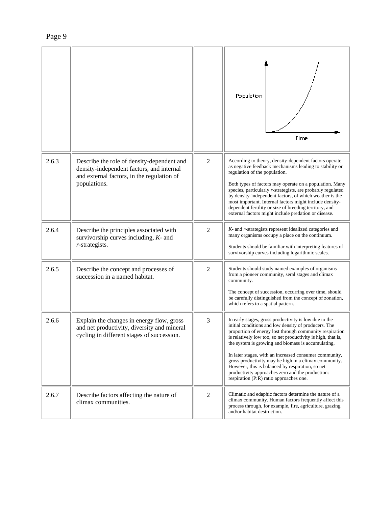|       |                                                                                                                                                       |                | Population<br>Time                                                                                                                                                                                                                                                                                                                                                                                                                                                                                                                                                   |
|-------|-------------------------------------------------------------------------------------------------------------------------------------------------------|----------------|----------------------------------------------------------------------------------------------------------------------------------------------------------------------------------------------------------------------------------------------------------------------------------------------------------------------------------------------------------------------------------------------------------------------------------------------------------------------------------------------------------------------------------------------------------------------|
| 2.6.3 | Describe the role of density-dependent and<br>density-independent factors, and internal<br>and external factors, in the regulation of<br>populations. | $\overline{2}$ | According to theory, density-dependent factors operate<br>as negative feedback mechanisms leading to stability or<br>regulation of the population.<br>Both types of factors may operate on a population. Many<br>species, particularly r-strategists, are probably regulated<br>by density-independent factors, of which weather is the<br>most important. Internal factors might include density-<br>dependent fertility or size of breeding territory, and<br>external factors might include predation or disease.                                                 |
| 2.6.4 | Describe the principles associated with<br>survivorship curves including, $K$ - and<br>r-strategists.                                                 | $\overline{2}$ | K- and r-strategists represent idealized categories and<br>many organisms occupy a place on the continuum.<br>Students should be familiar with interpreting features of<br>survivorship curves including logarithmic scales.                                                                                                                                                                                                                                                                                                                                         |
| 2.6.5 | Describe the concept and processes of<br>succession in a named habitat.                                                                               | $\overline{2}$ | Students should study named examples of organisms<br>from a pioneer community, seral stages and climax<br>community.<br>The concept of succession, occurring over time, should<br>be carefully distinguished from the concept of zonation,<br>which refers to a spatial pattern.                                                                                                                                                                                                                                                                                     |
| 2.6.6 | Explain the changes in energy flow, gross<br>and net productivity, diversity and mineral<br>cycling in different stages of succession.                | 3              | In early stages, gross productivity is low due to the<br>initial conditions and low density of producers. The<br>proportion of energy lost through community respiration<br>is relatively low too, so net productivity is high, that is,<br>the system is growing and biomass is accumulating.<br>In later stages, with an increased consumer community,<br>gross productivity may be high in a climax community.<br>However, this is balanced by respiration, so net<br>productivity approaches zero and the production:<br>respiration (P:R) ratio approaches one. |
| 2.6.7 | Describe factors affecting the nature of<br>climax communities.                                                                                       | $\overline{2}$ | Climatic and edaphic factors determine the nature of a<br>climax community. Human factors frequently affect this<br>process through, for example, fire, agriculture, grazing<br>and/or habitat destruction.                                                                                                                                                                                                                                                                                                                                                          |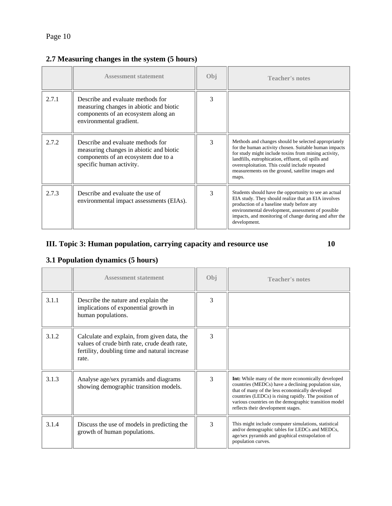|       | <b>Assessment statement</b>                                                                                                                     | Obj           | <b>Teacher's notes</b>                                                                                                                                                                                                                                                                                                                     |
|-------|-------------------------------------------------------------------------------------------------------------------------------------------------|---------------|--------------------------------------------------------------------------------------------------------------------------------------------------------------------------------------------------------------------------------------------------------------------------------------------------------------------------------------------|
| 2.7.1 | Describe and evaluate methods for<br>measuring changes in abiotic and biotic<br>components of an ecosystem along an<br>environmental gradient.  | 3             |                                                                                                                                                                                                                                                                                                                                            |
| 2.7.2 | Describe and evaluate methods for<br>measuring changes in abiotic and biotic<br>components of an ecosystem due to a<br>specific human activity. | $\mathcal{R}$ | Methods and changes should be selected appropriately<br>for the human activity chosen. Suitable human impacts<br>for study might include toxins from mining activity,<br>landfills, eutrophication, effluent, oil spills and<br>overexploitation. This could include repeated<br>measurements on the ground, satellite images and<br>maps. |
| 2.7.3 | Describe and evaluate the use of<br>environmental impact assessments (EIAs).                                                                    | 3             | Students should have the opportunity to see an actual<br>EIA study. They should realize that an EIA involves<br>production of a baseline study before any<br>environmental development, assessment of possible<br>impacts, and monitoring of change during and after the<br>development.                                                   |

## **2.7 Measuring changes in the system (5 hours)**

## **III. Topic 3: Human population, carrying capacity and resource use 10**

## **3.1 Population dynamics (5 hours)**

|       | <b>Assessment statement</b>                                                                                                                            | Obj | <b>Teacher's notes</b>                                                                                                                                                                                                                                                                                                     |
|-------|--------------------------------------------------------------------------------------------------------------------------------------------------------|-----|----------------------------------------------------------------------------------------------------------------------------------------------------------------------------------------------------------------------------------------------------------------------------------------------------------------------------|
| 3.1.1 | Describe the nature and explain the<br>implications of exponential growth in<br>human populations.                                                     | 3   |                                                                                                                                                                                                                                                                                                                            |
| 3.1.2 | Calculate and explain, from given data, the<br>values of crude birth rate, crude death rate,<br>fertility, doubling time and natural increase<br>rate. | 3   |                                                                                                                                                                                                                                                                                                                            |
| 3.1.3 | Analyse age/sex pyramids and diagrams<br>showing demographic transition models.                                                                        | 3   | <b>Int:</b> While many of the more economically developed<br>countries (MEDCs) have a declining population size,<br>that of many of the less economically developed<br>countries (LEDCs) is rising rapidly. The position of<br>various countries on the demographic transition model<br>reflects their development stages. |
| 3.1.4 | Discuss the use of models in predicting the<br>growth of human populations.                                                                            | 3   | This might include computer simulations, statistical<br>and/or demographic tables for LEDCs and MEDCs,<br>age/sex pyramids and graphical extrapolation of<br>population curves.                                                                                                                                            |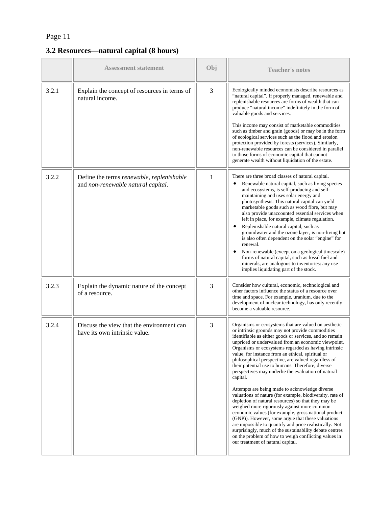**3.2 Resources—natural capital (8 hours)** 

|       | <b>Assessment statement</b>                                                     | Obj | <b>Teacher's notes</b>                                                                                                                                                                                                                                                                                                                                                                                                                                                                                                                                                                                                                                                                                                                                                                                                                                                                                                                                                                                                                                                     |
|-------|---------------------------------------------------------------------------------|-----|----------------------------------------------------------------------------------------------------------------------------------------------------------------------------------------------------------------------------------------------------------------------------------------------------------------------------------------------------------------------------------------------------------------------------------------------------------------------------------------------------------------------------------------------------------------------------------------------------------------------------------------------------------------------------------------------------------------------------------------------------------------------------------------------------------------------------------------------------------------------------------------------------------------------------------------------------------------------------------------------------------------------------------------------------------------------------|
| 3.2.1 | Explain the concept of resources in terms of<br>natural income.                 | 3   | Ecologically minded economists describe resources as<br>"natural capital". If properly managed, renewable and<br>replenishable resources are forms of wealth that can<br>produce "natural income" indefinitely in the form of<br>valuable goods and services.<br>This income may consist of marketable commodities<br>such as timber and grain (goods) or may be in the form<br>of ecological services such as the flood and erosion<br>protection provided by forests (services). Similarly,<br>non-renewable resources can be considered in parallel<br>to those forms of economic capital that cannot<br>generate wealth without liquidation of the estate.                                                                                                                                                                                                                                                                                                                                                                                                             |
| 3.2.2 | Define the terms renewable, replenishable<br>and non-renewable natural capital. | 1   | There are three broad classes of natural capital.<br>Renewable natural capital, such as living species<br>and ecosystems, is self-producing and self-<br>maintaining and uses solar energy and<br>photosynthesis. This natural capital can yield<br>marketable goods such as wood fibre, but may<br>also provide unaccounted essential services when<br>left in place, for example, climate regulation.<br>Replenishable natural capital, such as<br>٠<br>groundwater and the ozone layer, is non-living but<br>is also often dependent on the solar "engine" for<br>renewal.<br>Non-renewable (except on a geological timescale)<br>٠<br>forms of natural capital, such as fossil fuel and<br>minerals, are analogous to inventories: any use<br>implies liquidating part of the stock.                                                                                                                                                                                                                                                                                   |
| 3.2.3 | Explain the dynamic nature of the concept<br>of a resource.                     | 3   | Consider how cultural, economic, technological and<br>other factors influence the status of a resource over<br>time and space. For example, uranium, due to the<br>development of nuclear technology, has only recently<br>become a valuable resource.                                                                                                                                                                                                                                                                                                                                                                                                                                                                                                                                                                                                                                                                                                                                                                                                                     |
| 3.2.4 | Discuss the view that the environment can<br>have its own intrinsic value.      | 3   | Organisms or ecosystems that are valued on aesthetic<br>or intrinsic grounds may not provide commodities<br>identifiable as either goods or services, and so remain<br>unpriced or undervalued from an economic viewpoint.<br>Organisms or ecosystems regarded as having intrinsic<br>value, for instance from an ethical, spiritual or<br>philosophical perspective, are valued regardless of<br>their potential use to humans. Therefore, diverse<br>perspectives may underlie the evaluation of natural<br>capital.<br>Attempts are being made to acknowledge diverse<br>valuations of nature (for example, biodiversity, rate of<br>depletion of natural resources) so that they may be<br>weighed more rigorously against more common<br>economic values (for example, gross national product<br>(GNP)). However, some argue that these valuations<br>are impossible to quantify and price realistically. Not<br>surprisingly, much of the sustainability debate centres<br>on the problem of how to weigh conflicting values in<br>our treatment of natural capital. |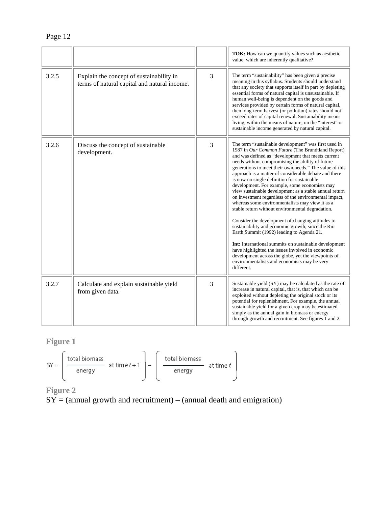|       |                                                                                          |   | <b>TOK:</b> How can we quantify values such as aesthetic<br>value, which are inherently qualitative?                                                                                                                                                                                                                                                                                                                                                                                                                                                                                                                                                                                                                                                                                                                                                                                                                                                                                                                                                       |
|-------|------------------------------------------------------------------------------------------|---|------------------------------------------------------------------------------------------------------------------------------------------------------------------------------------------------------------------------------------------------------------------------------------------------------------------------------------------------------------------------------------------------------------------------------------------------------------------------------------------------------------------------------------------------------------------------------------------------------------------------------------------------------------------------------------------------------------------------------------------------------------------------------------------------------------------------------------------------------------------------------------------------------------------------------------------------------------------------------------------------------------------------------------------------------------|
| 3.2.5 | Explain the concept of sustainability in<br>terms of natural capital and natural income. | 3 | The term "sustainability" has been given a precise<br>meaning in this syllabus. Students should understand<br>that any society that supports itself in part by depleting<br>essential forms of natural capital is unsustainable. If<br>human well-being is dependent on the goods and<br>services provided by certain forms of natural capital,<br>then long-term harvest (or pollution) rates should not<br>exceed rates of capital renewal. Sustainability means<br>living, within the means of nature, on the "interest" or<br>sustainable income generated by natural capital.                                                                                                                                                                                                                                                                                                                                                                                                                                                                         |
| 3.2.6 | Discuss the concept of sustainable<br>development.                                       | 3 | The term "sustainable development" was first used in<br>1987 in Our Common Future (The Brundtland Report)<br>and was defined as "development that meets current<br>needs without compromising the ability of future<br>generations to meet their own needs." The value of this<br>approach is a matter of considerable debate and there<br>is now no single definition for sustainable<br>development. For example, some economists may<br>view sustainable development as a stable annual return<br>on investment regardless of the environmental impact,<br>whereas some environmentalists may view it as a<br>stable return without environmental degradation.<br>Consider the development of changing attitudes to<br>sustainability and economic growth, since the Rio<br>Earth Summit (1992) leading to Agenda 21.<br>Int: International summits on sustainable development<br>have highlighted the issues involved in economic<br>development across the globe, yet the viewpoints of<br>environmentalists and economists may be very<br>different. |
| 3.2.7 | Calculate and explain sustainable yield<br>from given data.                              | 3 | Sustainable yield (SY) may be calculated as the rate of<br>increase in natural capital, that is, that which can be<br>exploited without depleting the original stock or its<br>potential for replenishment. For example, the annual<br>sustainable yield for a given crop may be estimated<br>simply as the annual gain in biomass or energy<br>through growth and recruitment. See figures 1 and 2.                                                                                                                                                                                                                                                                                                                                                                                                                                                                                                                                                                                                                                                       |

# **Figure 1**

$$
SY = \left(\begin{array}{cc}\text{total biomass}\\\text{energy}\end{array}\right) \text{attime } t+1\begin{array}{cc}\text{total biomass}\\\text{energy}\end{array}\right) \text{attime } t
$$

**Figure 2** 

 $SY =$  (annual growth and recruitment) – (annual death and emigration)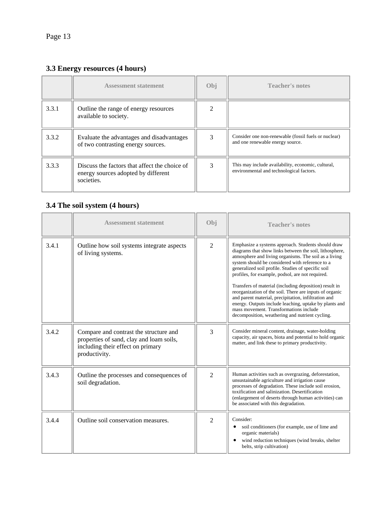# **3.3 Energy resources (4 hours)**

|       | <b>Assessment statement</b>                                                                        | Obj | <b>Teacher's notes</b>                                                                         |
|-------|----------------------------------------------------------------------------------------------------|-----|------------------------------------------------------------------------------------------------|
| 3.3.1 | Outline the range of energy resources<br>available to society.                                     |     |                                                                                                |
| 3.3.2 | Evaluate the advantages and disadvantages<br>of two contrasting energy sources.                    | 3   | Consider one non-renewable (fossil fuels or nuclear)<br>and one renewable energy source.       |
| 3.3.3 | Discuss the factors that affect the choice of<br>energy sources adopted by different<br>societies. | 3   | This may include availability, economic, cultural,<br>environmental and technological factors. |

## **3.4 The soil system (4 hours)**

|       | <b>Assessment statement</b>                                                                                                              | Obi            | <b>Teacher's notes</b>                                                                                                                                                                                                                                                                                                                                                                                                                                                                                                                                                                                                                                                  |
|-------|------------------------------------------------------------------------------------------------------------------------------------------|----------------|-------------------------------------------------------------------------------------------------------------------------------------------------------------------------------------------------------------------------------------------------------------------------------------------------------------------------------------------------------------------------------------------------------------------------------------------------------------------------------------------------------------------------------------------------------------------------------------------------------------------------------------------------------------------------|
| 3.4.1 | Outline how soil systems integrate aspects<br>of living systems.                                                                         | $\overline{2}$ | Emphasize a systems approach. Students should draw<br>diagrams that show links between the soil, lithosphere,<br>atmosphere and living organisms. The soil as a living<br>system should be considered with reference to a<br>generalized soil profile. Studies of specific soil<br>profiles, for example, podsol, are not required.<br>Transfers of material (including deposition) result in<br>reorganization of the soil. There are inputs of organic<br>and parent material, precipitation, infiltration and<br>energy. Outputs include leaching, uptake by plants and<br>mass movement. Transformations include<br>decomposition, weathering and nutrient cycling. |
| 3.4.2 | Compare and contrast the structure and<br>properties of sand, clay and loam soils,<br>including their effect on primary<br>productivity. | 3              | Consider mineral content, drainage, water-holding<br>capacity, air spaces, biota and potential to hold organic<br>matter, and link these to primary productivity.                                                                                                                                                                                                                                                                                                                                                                                                                                                                                                       |
| 3.4.3 | Outline the processes and consequences of<br>soil degradation.                                                                           | $\overline{2}$ | Human activities such as overgrazing, deforestation,<br>unsustainable agriculture and irrigation cause<br>processes of degradation. These include soil erosion,<br>toxification and salinization. Desertification<br>(enlargement of deserts through human activities) can<br>be associated with this degradation.                                                                                                                                                                                                                                                                                                                                                      |
| 3.4.4 | Outline soil conservation measures.                                                                                                      | $\mathfrak{D}$ | Consider:<br>soil conditioners (for example, use of lime and<br>organic materials)<br>wind reduction techniques (wind breaks, shelter<br>$\bullet$<br>belts, strip cultivation)                                                                                                                                                                                                                                                                                                                                                                                                                                                                                         |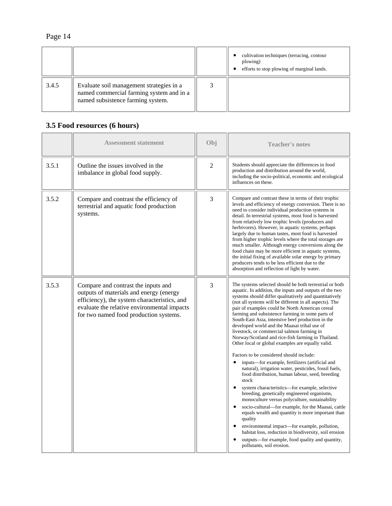|       |                                                                                                                           | cultivation techniques (terracing, contour<br>plowing)<br>efforts to stop plowing of marginal lands. |
|-------|---------------------------------------------------------------------------------------------------------------------------|------------------------------------------------------------------------------------------------------|
| 3.4.5 | Evaluate soil management strategies in a<br>named commercial farming system and in a<br>named subsistence farming system. |                                                                                                      |

## **3.5 Food resources (6 hours)**

|       | <b>Assessment statement</b>                                                                                                                                                                                             | Obj            | <b>Teacher's notes</b>                                                                                                                                                                                                                                                                                                                                                                                                                                                                                                                                                                                                                                                                                                                                                                                                                                                                                                                                                                                                                                                                                                                                                                                                                                                                                         |
|-------|-------------------------------------------------------------------------------------------------------------------------------------------------------------------------------------------------------------------------|----------------|----------------------------------------------------------------------------------------------------------------------------------------------------------------------------------------------------------------------------------------------------------------------------------------------------------------------------------------------------------------------------------------------------------------------------------------------------------------------------------------------------------------------------------------------------------------------------------------------------------------------------------------------------------------------------------------------------------------------------------------------------------------------------------------------------------------------------------------------------------------------------------------------------------------------------------------------------------------------------------------------------------------------------------------------------------------------------------------------------------------------------------------------------------------------------------------------------------------------------------------------------------------------------------------------------------------|
| 3.5.1 | Outline the issues involved in the<br>imbalance in global food supply.                                                                                                                                                  | $\overline{2}$ | Students should appreciate the differences in food<br>production and distribution around the world,<br>including the socio-political, economic and ecological<br>influences on these.                                                                                                                                                                                                                                                                                                                                                                                                                                                                                                                                                                                                                                                                                                                                                                                                                                                                                                                                                                                                                                                                                                                          |
| 3.5.2 | Compare and contrast the efficiency of<br>terrestrial and aquatic food production<br>systems.                                                                                                                           | 3              | Compare and contrast these in terms of their trophic<br>levels and efficiency of energy conversion. There is no<br>need to consider individual production systems in<br>detail. In terrestrial systems, most food is harvested<br>from relatively low trophic levels (producers and<br>herbivores). However, in aquatic systems, perhaps<br>largely due to human tastes, most food is harvested<br>from higher trophic levels where the total storages are<br>much smaller. Although energy conversions along the<br>food chain may be more efficient in aquatic systems,<br>the initial fixing of available solar energy by primary<br>producers tends to be less efficient due to the<br>absorption and reflection of light by water.                                                                                                                                                                                                                                                                                                                                                                                                                                                                                                                                                                        |
| 3.5.3 | Compare and contrast the inputs and<br>outputs of materials and energy (energy<br>efficiency), the system characteristics, and<br>evaluate the relative environmental impacts<br>for two named food production systems. | 3              | The systems selected should be both terrestrial or both<br>aquatic. In addition, the inputs and outputs of the two<br>systems should differ qualitatively and quantitatively<br>(not all systems will be different in all aspects). The<br>pair of examples could be North American cereal<br>farming and subsistence farming in some parts of<br>South-East Asia, intensive beef production in the<br>developed world and the Maasai tribal use of<br>livestock, or commercial salmon farming in<br>Norway/Scotland and rice-fish farming in Thailand.<br>Other local or global examples are equally valid.<br>Factors to be considered should include:<br>inputs—for example, fertilizers (artificial and<br>natural), irrigation water, pesticides, fossil fuels,<br>food distribution, human labour, seed, breeding<br>stock<br>$\bullet$<br>system characteristics—for example, selective<br>breeding, genetically engineered organisms,<br>monoculture versus polyculture, sustainability<br>socio-cultural-for example, for the Maasai, cattle<br>equals wealth and quantity is more important than<br>quality<br>environmental impact—for example, pollution,<br>habitat loss, reduction in biodiversity, soil erosion<br>outputs—for example, food quality and quantity,<br>pollutants, soil erosion. |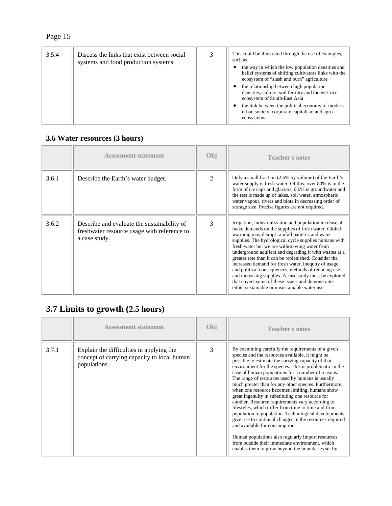| 3.5.4 | Discuss the links that exist between social<br>systems and food production systems. | 3 | This could be illustrated through the use of examples,<br>such as:<br>the way in which the low population densities and<br>belief systems of shifting cultivators links with the<br>ecosystem of "slash and burn" agriculture<br>the relationship between high population<br>densities, culture, soil fertility and the wet-rice<br>ecosystem of South-East Asia<br>the link between the political economy of modern<br>urban society, corporate capitalism and agro-<br>ecosystems. |
|-------|-------------------------------------------------------------------------------------|---|--------------------------------------------------------------------------------------------------------------------------------------------------------------------------------------------------------------------------------------------------------------------------------------------------------------------------------------------------------------------------------------------------------------------------------------------------------------------------------------|
|       |                                                                                     |   |                                                                                                                                                                                                                                                                                                                                                                                                                                                                                      |

# **3.6 Water resources (3 hours)**

|       | <b>Assessment statement</b>                                                                                 | Obj                         | <b>Teacher's notes</b>                                                                                                                                                                                                                                                                                                                                                                                                                                                                                                                                                                                                                                                          |
|-------|-------------------------------------------------------------------------------------------------------------|-----------------------------|---------------------------------------------------------------------------------------------------------------------------------------------------------------------------------------------------------------------------------------------------------------------------------------------------------------------------------------------------------------------------------------------------------------------------------------------------------------------------------------------------------------------------------------------------------------------------------------------------------------------------------------------------------------------------------|
| 3.6.1 | Describe the Earth's water budget.                                                                          | $\mathcal{D}_{\mathcal{L}}$ | Only a small fraction (2.6% by volume) of the Earth's<br>water supply is fresh water. Of this, over 80% is in the<br>form of ice caps and glaciers, 0.6% is groundwater and<br>the rest is made up of lakes, soil water, atmospheric<br>water vapour, rivers and biota in decreasing order of<br>storage size. Precise figures are not required.                                                                                                                                                                                                                                                                                                                                |
| 3.6.2 | Describe and evaluate the sustainability of<br>freshwater resource usage with reference to<br>a case study. | 3                           | Irrigation, industrialization and population increase all<br>make demands on the supplies of fresh water. Global<br>warming may disrupt rainfall patterns and water<br>supplies. The hydrological cycle supplies humans with<br>fresh water but we are withdrawing water from<br>underground aquifers and degrading it with wastes at a<br>greater rate than it can be replenished. Consider the<br>increased demand for fresh water, inequity of usage<br>and political consequences, methods of reducing use<br>and increasing supplies. A case study must be explored<br>that covers some of these issues and demonstrates<br>either sustainable or unsustainable water use. |

# **3.7 Limits to growth (2.5 hours)**

|       | <b>Assessment statement</b>                                                                             | Obj | <b>Teacher's notes</b>                                                                                                                                                                                                                                                                                                                                                                                                                                                                                                                                                                                                                                                                                                                                                                                                                                                                                                          |
|-------|---------------------------------------------------------------------------------------------------------|-----|---------------------------------------------------------------------------------------------------------------------------------------------------------------------------------------------------------------------------------------------------------------------------------------------------------------------------------------------------------------------------------------------------------------------------------------------------------------------------------------------------------------------------------------------------------------------------------------------------------------------------------------------------------------------------------------------------------------------------------------------------------------------------------------------------------------------------------------------------------------------------------------------------------------------------------|
| 3.7.1 | Explain the difficulties in applying the<br>concept of carrying capacity to local human<br>populations. | 3   | By examining carefully the requirements of a given<br>species and the resources available, it might be<br>possible to estimate the carrying capacity of that<br>environment for the species. This is problematic in the<br>case of human populations for a number of reasons.<br>The range of resources used by humans is usually<br>much greater than for any other species. Furthermore,<br>when one resource becomes limiting, humans show<br>great ingenuity in substituting one resource for<br>another. Resource requirements vary according to<br>lifestyles, which differ from time to time and from<br>population to population. Technological developments<br>give rise to continual changes in the resources required<br>and available for consumption.<br>Human populations also regularly import resources<br>from outside their immediate environment, which<br>enables them to grow beyond the boundaries set by |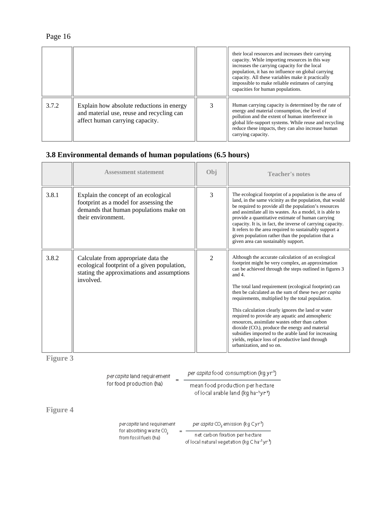| σ€<br>и. |  |
|----------|--|
|          |  |

|       |                                                                                                                           | their local resources and increases their carrying<br>capacity. While importing resources in this way<br>increases the carrying capacity for the local<br>population, it has no influence on global carrying<br>capacity. All these variables make it practically<br>impossible to make reliable estimates of carrying<br>capacities for human populations. |
|-------|---------------------------------------------------------------------------------------------------------------------------|-------------------------------------------------------------------------------------------------------------------------------------------------------------------------------------------------------------------------------------------------------------------------------------------------------------------------------------------------------------|
| 3.7.2 | Explain how absolute reductions in energy<br>and material use, reuse and recycling can<br>affect human carrying capacity. | Human carrying capacity is determined by the rate of<br>energy and material consumption, the level of<br>pollution and the extent of human interference in<br>global life-support systems. While reuse and recycling<br>reduce these impacts, they can also increase human<br>carrying capacity.                                                            |

## **3.8 Environmental demands of human populations (6.5 hours)**

|       | <b>Assessment statement</b>                                                                                                                    | Obj                         | <b>Teacher's notes</b>                                                                                                                                                                                                                                                                                                                                                                                                                                                                                                                                                                                                                                                                                         |
|-------|------------------------------------------------------------------------------------------------------------------------------------------------|-----------------------------|----------------------------------------------------------------------------------------------------------------------------------------------------------------------------------------------------------------------------------------------------------------------------------------------------------------------------------------------------------------------------------------------------------------------------------------------------------------------------------------------------------------------------------------------------------------------------------------------------------------------------------------------------------------------------------------------------------------|
| 3.8.1 | Explain the concept of an ecological<br>footprint as a model for assessing the<br>demands that human populations make on<br>their environment. | $\mathcal{E}$               | The ecological footprint of a population is the area of<br>land, in the same vicinity as the population, that would<br>be required to provide all the population's resources<br>and assimilate all its wastes. As a model, it is able to<br>provide a quantitative estimate of human carrying<br>capacity. It is, in fact, the inverse of carrying capacity.<br>It refers to the area required to sustainably support a<br>given population rather than the population that a<br>given area can sustainably support.                                                                                                                                                                                           |
| 3.8.2 | Calculate from appropriate data the<br>ecological footprint of a given population,<br>stating the approximations and assumptions<br>involved.  | $\mathcal{D}_{\mathcal{L}}$ | Although the accurate calculation of an ecological<br>footprint might be very complex, an approximation<br>can be achieved through the steps outlined in figures 3<br>and $4$ .<br>The total land requirement (ecological footprint) can<br>then be calculated as the sum of these two per capital<br>requirements, multiplied by the total population.<br>This calculation clearly ignores the land or water<br>required to provide any aquatic and atmospheric<br>resources, assimilate wastes other than carbon<br>$divxide (CO2)$ , produce the energy and material<br>subsidies imported to the arable land for increasing<br>yields, replace loss of productive land through<br>urbanization, and so on. |

**Figure 3** 

|                 | per capita land requirement                                   | per capita food consumption (kq yr <sup>1</sup> )                                                       |  |  |
|-----------------|---------------------------------------------------------------|---------------------------------------------------------------------------------------------------------|--|--|
|                 | for food production (ha)                                      | mean food production per hectare<br>of local arable land (kg ha-1yr1)                                   |  |  |
| <b>Figure 4</b> |                                                               |                                                                                                         |  |  |
|                 | per capita land requirement                                   | per capita CO, emission (kq Cyr <sup>1</sup> )                                                          |  |  |
|                 | for absorbing waste CO <sub>2</sub><br>from fossil fuels (ha) | net carbon fixation per hectare<br>of local natural vegetation (kg C ha <sup>-1</sup> yr <sup>1</sup> ) |  |  |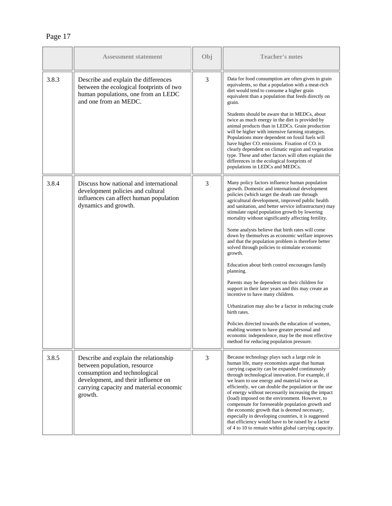| г<br>U<br>7۱۰<br>۰<br>г |  |
|-------------------------|--|
|-------------------------|--|

|       | <b>Assessment statement</b>                                                                                                                                                                         | Obj | <b>Teacher's notes</b>                                                                                                                                                                                                                                                                                                                                                                                                                                                                                                                                                                                                                                                                                                                                                                                                                                                                                                                                                                                                                                                                     |
|-------|-----------------------------------------------------------------------------------------------------------------------------------------------------------------------------------------------------|-----|--------------------------------------------------------------------------------------------------------------------------------------------------------------------------------------------------------------------------------------------------------------------------------------------------------------------------------------------------------------------------------------------------------------------------------------------------------------------------------------------------------------------------------------------------------------------------------------------------------------------------------------------------------------------------------------------------------------------------------------------------------------------------------------------------------------------------------------------------------------------------------------------------------------------------------------------------------------------------------------------------------------------------------------------------------------------------------------------|
| 3.8.3 | Describe and explain the differences<br>between the ecological footprints of two<br>human populations, one from an LEDC<br>and one from an MEDC.                                                    | 3   | Data for food consumption are often given in grain<br>equivalents, so that a population with a meat-rich<br>diet would tend to consume a higher grain<br>equivalent than a population that feeds directly on<br>grain.<br>Students should be aware that in MEDCs, about<br>twice as much energy in the diet is provided by<br>animal products than in LEDCs. Grain production<br>will be higher with intensive farming strategies.<br>Populations more dependent on fossil fuels will<br>have higher CO <sub>2</sub> emissions. Fixation of CO <sub>2</sub> is<br>clearly dependent on climatic region and vegetation<br>type. These and other factors will often explain the<br>differences in the ecological footprints of<br>populations in LEDCs and MEDCs.                                                                                                                                                                                                                                                                                                                            |
| 3.8.4 | Discuss how national and international<br>development policies and cultural<br>influences can affect human population<br>dynamics and growth.                                                       | 3   | Many policy factors influence human population<br>growth. Domestic and international development<br>policies (which target the death rate through<br>agricultural development, improved public health<br>and sanitation, and better service infrastructure) may<br>stimulate rapid population growth by lowering<br>mortality without significantly affecting fertility.<br>Some analysts believe that birth rates will come<br>down by themselves as economic welfare improves<br>and that the population problem is therefore better<br>solved through policies to stimulate economic<br>growth.<br>Education about birth control encourages family<br>planning.<br>Parents may be dependent on their children for<br>support in their later years and this may create an<br>incentive to have many children.<br>Urbanization may also be a factor in reducing crude<br>birth rates.<br>Policies directed towards the education of women,<br>enabling women to have greater personal and<br>economic independence, may be the most effective<br>method for reducing population pressure. |
| 3.8.5 | Describe and explain the relationship<br>between population, resource<br>consumption and technological<br>development, and their influence on<br>carrying capacity and material economic<br>growth. | 3   | Because technology plays such a large role in<br>human life, many economists argue that human<br>carrying capacity can be expanded continuously<br>through technological innovation. For example, if<br>we learn to use energy and material twice as<br>efficiently, we can double the population or the use<br>of energy without necessarily increasing the impact<br>(load) imposed on the environment. However, to<br>compensate for foreseeable population growth and<br>the economic growth that is deemed necessary,<br>especially in developing countries, it is suggested<br>that efficiency would have to be raised by a factor<br>of 4 to 10 to remain within global carrying capacity.                                                                                                                                                                                                                                                                                                                                                                                          |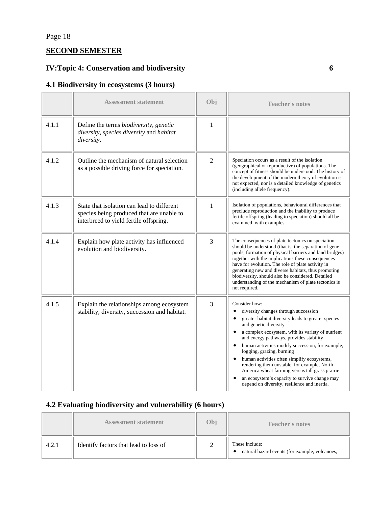# **SECOND SEMESTER**

### **IV:Topic 4: Conservation and biodiversity 6**

### **4.1 Biodiversity in ecosystems (3 hours)**

|       | <b>Assessment statement</b>                                                                                                       | Obi            | <b>Teacher's notes</b>                                                                                                                                                                                                                                                                                                                                                                                                                                                                                                                                                                                         |
|-------|-----------------------------------------------------------------------------------------------------------------------------------|----------------|----------------------------------------------------------------------------------------------------------------------------------------------------------------------------------------------------------------------------------------------------------------------------------------------------------------------------------------------------------------------------------------------------------------------------------------------------------------------------------------------------------------------------------------------------------------------------------------------------------------|
| 4.1.1 | Define the terms biodiversity, genetic<br>diversity, species diversity and habitat<br>diversity.                                  | 1              |                                                                                                                                                                                                                                                                                                                                                                                                                                                                                                                                                                                                                |
| 4.1.2 | Outline the mechanism of natural selection<br>as a possible driving force for speciation.                                         | $\overline{2}$ | Speciation occurs as a result of the isolation<br>(geographical or reproductive) of populations. The<br>concept of fitness should be understood. The history of<br>the development of the modern theory of evolution is<br>not expected, nor is a detailed knowledge of genetics<br>(including allele frequency).                                                                                                                                                                                                                                                                                              |
| 4.1.3 | State that isolation can lead to different<br>species being produced that are unable to<br>interbreed to yield fertile offspring. | 1              | Isolation of populations, behavioural differences that<br>preclude reproduction and the inability to produce<br>fertile offspring (leading to speciation) should all be<br>examined, with examples.                                                                                                                                                                                                                                                                                                                                                                                                            |
| 4.1.4 | Explain how plate activity has influenced<br>evolution and biodiversity.                                                          | 3              | The consequences of plate tectonics on speciation<br>should be understood (that is, the separation of gene<br>pools, formation of physical barriers and land bridges)<br>together with the implications these consequences<br>have for evolution. The role of plate activity in<br>generating new and diverse habitats, thus promoting<br>biodiversity, should also be considered. Detailed<br>understanding of the mechanism of plate tectonics is<br>not required.                                                                                                                                           |
| 4.1.5 | Explain the relationships among ecosystem<br>stability, diversity, succession and habitat.                                        | 3              | Consider how:<br>$\bullet$<br>diversity changes through succession<br>greater habitat diversity leads to greater species<br>$\bullet$<br>and genetic diversity<br>a complex ecosystem, with its variety of nutrient<br>and energy pathways, provides stability<br>human activities modify succession, for example,<br>$\bullet$<br>logging, grazing, burning<br>human activities often simplify ecosystems,<br>rendering them unstable, for example, North<br>America wheat farming versus tall grass prairie<br>an ecosystem's capacity to survive change may<br>depend on diversity, resilience and inertia. |

### **4.2 Evaluating biodiversity and vulnerability (6 hours)**

|       | <b>Assessment statement</b>           | Obj | <b>Teacher's notes</b>                                           |
|-------|---------------------------------------|-----|------------------------------------------------------------------|
| 4.2.1 | Identify factors that lead to loss of | ∽   | These include:<br>natural hazard events (for example, volcanoes, |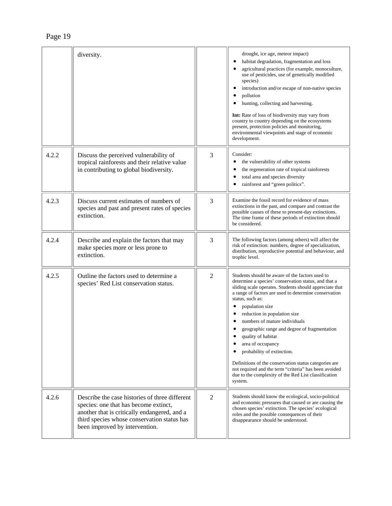|       | diversity.                                                                                                                                                                                                               |                | drought, ice age, meteor impact)<br>habitat degradation, fragmentation and loss<br>$\bullet$<br>agricultural practices (for example, monoculture,<br>$\bullet$<br>use of pesticides, use of genetically modified<br>species)<br>introduction and/or escape of non-native species<br>$\bullet$<br>pollution<br>hunting, collecting and harvesting.<br>$\bullet$<br><b>Int:</b> Rate of loss of biodiversity may vary from<br>country to country depending on the ecosystems<br>present, protection policies and monitoring,<br>environmental viewpoints and stage of economic<br>development.                                                                                             |
|-------|--------------------------------------------------------------------------------------------------------------------------------------------------------------------------------------------------------------------------|----------------|------------------------------------------------------------------------------------------------------------------------------------------------------------------------------------------------------------------------------------------------------------------------------------------------------------------------------------------------------------------------------------------------------------------------------------------------------------------------------------------------------------------------------------------------------------------------------------------------------------------------------------------------------------------------------------------|
| 4.2.2 | Discuss the perceived vulnerability of<br>tropical rainforests and their relative value<br>in contributing to global biodiversity.                                                                                       | 3              | Consider:<br>the vulnerability of other systems<br>$\bullet$<br>the regeneration rate of tropical rainforests<br>٠<br>total area and species diversity<br>$\bullet$<br>rainforest and "green politics".<br>$\bullet$                                                                                                                                                                                                                                                                                                                                                                                                                                                                     |
| 4.2.3 | Discuss current estimates of numbers of<br>species and past and present rates of species<br>extinction.                                                                                                                  | 3              | Examine the fossil record for evidence of mass<br>extinctions in the past, and compare and contrast the<br>possible causes of these to present-day extinctions.<br>The time frame of these periods of extinction should<br>be considered.                                                                                                                                                                                                                                                                                                                                                                                                                                                |
| 4.2.4 | Describe and explain the factors that may<br>make species more or less prone to<br>extinction.                                                                                                                           | 3              | The following factors (among others) will affect the<br>risk of extinction: numbers, degree of specialization,<br>distribution, reproductive potential and behaviour, and<br>trophic level.                                                                                                                                                                                                                                                                                                                                                                                                                                                                                              |
| 4.2.5 | Outline the factors used to determine a<br>species' Red List conservation status.                                                                                                                                        | $\overline{2}$ | Students should be aware of the factors used to<br>determine a species' conservation status, and that a<br>sliding scale operates. Students should appreciate that<br>a range of factors are used to determine conservation<br>status, such as:<br>$\bullet$<br>population size<br>$\bullet$<br>reduction in population size<br>numbers of mature individuals<br>geographic range and degree of fragmentation<br>quality of habitat<br>area of occupancy<br>probability of extinction.<br>$\bullet$<br>Definitions of the conservation status categories are<br>not required and the term "criteria" has been avoided<br>due to the complexity of the Red List classification<br>system. |
| 4.2.6 | Describe the case histories of three different<br>species: one that has become extinct,<br>another that is critically endangered, and a<br>third species whose conservation status has<br>been improved by intervention. | $\overline{2}$ | Students should know the ecological, socio-political<br>and economic pressures that caused or are causing the<br>chosen species' extinction. The species' ecological<br>roles and the possible consequences of their<br>disappearance should be understood.                                                                                                                                                                                                                                                                                                                                                                                                                              |

Page 19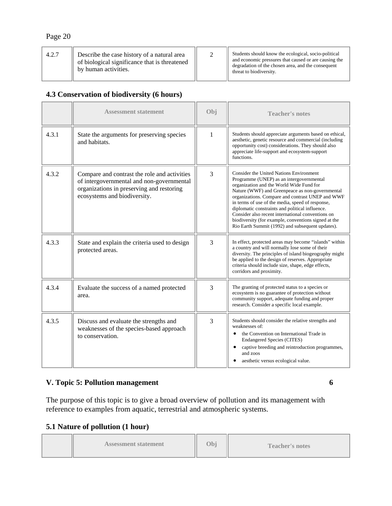| 4.2.7 | Describe the case history of a natural area<br>of biological significance that is threatened<br>by human activities. |  | Students should know the ecological, socio-political<br>and economic pressures that caused or are causing the<br>degradation of the chosen area, and the consequent<br>threat to biodiversity. |
|-------|----------------------------------------------------------------------------------------------------------------------|--|------------------------------------------------------------------------------------------------------------------------------------------------------------------------------------------------|
|-------|----------------------------------------------------------------------------------------------------------------------|--|------------------------------------------------------------------------------------------------------------------------------------------------------------------------------------------------|

### **4.3 Conservation of biodiversity (6 hours)**

|       | <b>Assessment statement</b>                                                                                                                                            | Obj | <b>Teacher's notes</b>                                                                                                                                                                                                                                                                                                                                                                                                                                                                                                |
|-------|------------------------------------------------------------------------------------------------------------------------------------------------------------------------|-----|-----------------------------------------------------------------------------------------------------------------------------------------------------------------------------------------------------------------------------------------------------------------------------------------------------------------------------------------------------------------------------------------------------------------------------------------------------------------------------------------------------------------------|
| 4.3.1 | State the arguments for preserving species<br>and habitats.                                                                                                            | 1   | Students should appreciate arguments based on ethical,<br>aesthetic, genetic resource and commercial (including<br>opportunity cost) considerations. They should also<br>appreciate life-support and ecosystem-support<br>functions.                                                                                                                                                                                                                                                                                  |
| 4.3.2 | Compare and contrast the role and activities<br>of intergovernmental and non-governmental<br>organizations in preserving and restoring<br>ecosystems and biodiversity. | 3   | <b>Consider the United Nations Environment</b><br>Programme (UNEP) as an intergovernmental<br>organization and the World Wide Fund for<br>Nature (WWF) and Greenpeace as non-governmental<br>organizations. Compare and contrast UNEP and WWF<br>in terms of use of the media, speed of response,<br>diplomatic constraints and political influence.<br>Consider also recent international conventions on<br>biodiversity (for example, conventions signed at the<br>Rio Earth Summit (1992) and subsequent updates). |
| 4.3.3 | State and explain the criteria used to design<br>protected areas.                                                                                                      | 3   | In effect, protected areas may become "islands" within<br>a country and will normally lose some of their<br>diversity. The principles of island biogeography might<br>be applied to the design of reserves. Appropriate<br>criteria should include size, shape, edge effects,<br>corridors and proximity.                                                                                                                                                                                                             |
| 4.3.4 | Evaluate the success of a named protected<br>area.                                                                                                                     | 3   | The granting of protected status to a species or<br>ecosystem is no guarantee of protection without<br>community support, adequate funding and proper<br>research. Consider a specific local example.                                                                                                                                                                                                                                                                                                                 |
| 4.3.5 | Discuss and evaluate the strengths and<br>weaknesses of the species-based approach<br>to conservation.                                                                 | 3   | Students should consider the relative strengths and<br>weaknesses of:<br>the Convention on International Trade in<br>$\bullet$<br><b>Endangered Species (CITES)</b><br>captive breeding and reintroduction programmes,<br>$\bullet$<br>and zoos<br>aesthetic versus ecological value.                                                                                                                                                                                                                                 |

### **V. Topic 5: Pollution management 6 6**

The purpose of this topic is to give a broad overview of pollution and its management with reference to examples from aquatic, terrestrial and atmospheric systems.

## **5.1 Nature of pollution (1 hour)**

| <b>Assessment statement</b> | Obi | <b>Teacher's notes</b> |
|-----------------------------|-----|------------------------|
|-----------------------------|-----|------------------------|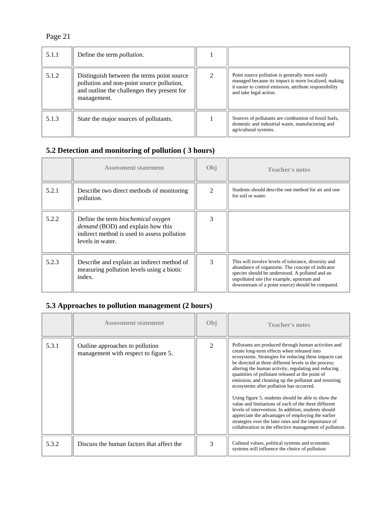| 5.1.1 | Define the term <i>pollution</i> .                                                                                                                    |                                                                                                                                                                                              |
|-------|-------------------------------------------------------------------------------------------------------------------------------------------------------|----------------------------------------------------------------------------------------------------------------------------------------------------------------------------------------------|
| 5.1.2 | Distinguish between the terms point source<br>pollution and non-point source pollution,<br>and outline the challenges they present for<br>management. | Point source pollution is generally more easily<br>managed because its impact is more localized, making<br>it easier to control emission, attribute responsibility<br>and take legal action. |
| 5.1.3 | State the major sources of pollutants.                                                                                                                | Sources of pollutants are combustion of fossil fuels,<br>domestic and industrial waste, manufacturing and<br>agricultural systems.                                                           |

## **5.2 Detection and monitoring of pollution ( 3 hours)**

|       | <b>Assessment statement</b>                                                                                                                              | Obj            | <b>Teacher's notes</b>                                                                                                                                                                                                                                         |
|-------|----------------------------------------------------------------------------------------------------------------------------------------------------------|----------------|----------------------------------------------------------------------------------------------------------------------------------------------------------------------------------------------------------------------------------------------------------------|
| 5.2.1 | Describe two direct methods of monitoring<br>pollution.                                                                                                  | $\mathfrak{D}$ | Students should describe one method for air and one<br>for soil or water.                                                                                                                                                                                      |
| 5.2.2 | Define the term <i>biochemical</i> oxygen<br><i>demand</i> (BOD) and explain how this<br>indirect method is used to assess pollution<br>levels in water. |                |                                                                                                                                                                                                                                                                |
| 5.2.3 | Describe and explain an indirect method of<br>measuring pollution levels using a biotic<br>index.                                                        | 3              | This will involve levels of tolerance, diversity and<br>abundance of organisms. The concept of indicator<br>species should be understood. A polluted and an<br>unpolluted site (for example, upstream and<br>downstream of a point source) should be compared. |

## **5.3 Approaches to pollution management (2 hours)**

|       | <b>Assessment statement</b>                                             | Obj            | <b>Teacher's notes</b>                                                                                                                                                                                                                                                                                                                                                                                                                                                                                                                                                                                                                                                                                                                                                                 |
|-------|-------------------------------------------------------------------------|----------------|----------------------------------------------------------------------------------------------------------------------------------------------------------------------------------------------------------------------------------------------------------------------------------------------------------------------------------------------------------------------------------------------------------------------------------------------------------------------------------------------------------------------------------------------------------------------------------------------------------------------------------------------------------------------------------------------------------------------------------------------------------------------------------------|
| 5.3.1 | Outline approaches to pollution<br>management with respect to figure 5. | $\mathfrak{D}$ | Pollutants are produced through human activities and<br>create long-term effects when released into<br>ecosystems. Strategies for reducing these impacts can<br>be directed at three different levels in the process:<br>altering the human activity, regulating and reducing<br>quantities of pollutant released at the point of<br>emission, and cleaning up the pollutant and restoring<br>ecosystems after pollution has occurred.<br>Using figure 5, students should be able to show the<br>value and limitations of each of the three different<br>levels of intervention. In addition, students should<br>appreciate the advantages of employing the earlier<br>strategies over the later ones and the importance of<br>collaboration in the effective management of pollution. |
| 5.3.2 | Discuss the human factors that affect the                               | 3              | Cultural values, political systems and economic<br>systems will influence the choice of pollution                                                                                                                                                                                                                                                                                                                                                                                                                                                                                                                                                                                                                                                                                      |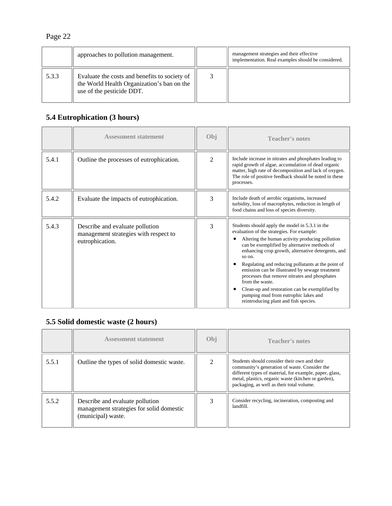|       | approaches to pollution management.                                                                                      | management strategies and their effective<br>implementation. Real examples should be considered. |
|-------|--------------------------------------------------------------------------------------------------------------------------|--------------------------------------------------------------------------------------------------|
| 5.3.3 | Evaluate the costs and benefits to society of<br>the World Health Organization's ban on the<br>use of the pesticide DDT. |                                                                                                  |

## **5.4 Eutrophication (3 hours)**

|       | <b>Assessment statement</b>                                                                 | Obj            | <b>Teacher's notes</b>                                                                                                                                                                                                                                                                                                                                                                                                                                                                                                                                                           |
|-------|---------------------------------------------------------------------------------------------|----------------|----------------------------------------------------------------------------------------------------------------------------------------------------------------------------------------------------------------------------------------------------------------------------------------------------------------------------------------------------------------------------------------------------------------------------------------------------------------------------------------------------------------------------------------------------------------------------------|
| 5.4.1 | Outline the processes of eutrophication.                                                    | $\mathfrak{D}$ | Include increase in nitrates and phosphates leading to<br>rapid growth of algae, accumulation of dead organic<br>matter, high rate of decomposition and lack of oxygen.<br>The role of positive feedback should be noted in these<br>processes.                                                                                                                                                                                                                                                                                                                                  |
| 5.4.2 | Evaluate the impacts of eutrophication.                                                     | 3              | Include death of aerobic organisms, increased<br>turbidity, loss of macrophytes, reduction in length of<br>food chains and loss of species diversity.                                                                                                                                                                                                                                                                                                                                                                                                                            |
| 5.4.3 | Describe and evaluate pollution<br>management strategies with respect to<br>eutrophication. | 3              | Students should apply the model in 5.3.1 in the<br>evaluation of the strategies. For example:<br>Altering the human activity producing pollution<br>can be exemplified by alternative methods of<br>enhancing crop growth, alternative detergents, and<br>so on.<br>Regulating and reducing pollutants at the point of<br>emission can be illustrated by sewage treatment<br>processes that remove nitrates and phosphates<br>from the waste.<br>Clean-up and restoration can be exemplified by<br>pumping mud from eutrophic lakes and<br>reintroducing plant and fish species. |

## **5.5 Solid domestic waste (2 hours)**

|       | <b>Assessment statement</b>                                                                       | Obj | <b>Teacher's notes</b>                                                                                                                                                                                                                                       |
|-------|---------------------------------------------------------------------------------------------------|-----|--------------------------------------------------------------------------------------------------------------------------------------------------------------------------------------------------------------------------------------------------------------|
| 5.5.1 | Outline the types of solid domestic waste.                                                        | ↑   | Students should consider their own and their<br>community's generation of waste. Consider the<br>different types of material, for example, paper, glass,<br>metal, plastics, organic waste (kitchen or garden),<br>packaging, as well as their total volume. |
| 5.5.2 | Describe and evaluate pollution<br>management strategies for solid domestic<br>(municipal) waste. |     | Consider recycling, incineration, composting and<br>landfill.                                                                                                                                                                                                |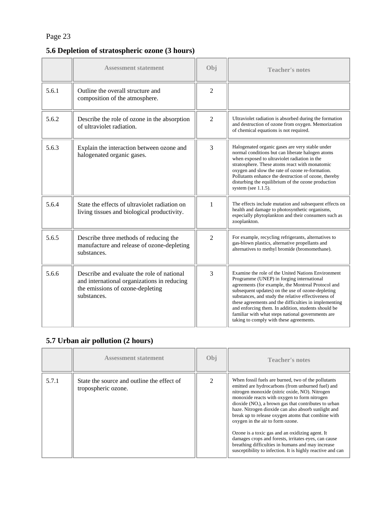## **5.6 Depletion of stratospheric ozone (3 hours)**

|       | <b>Assessment statement</b>                                                                                                                  | Obi            | <b>Teacher's notes</b>                                                                                                                                                                                                                                                                                                                                                                                                                                                            |
|-------|----------------------------------------------------------------------------------------------------------------------------------------------|----------------|-----------------------------------------------------------------------------------------------------------------------------------------------------------------------------------------------------------------------------------------------------------------------------------------------------------------------------------------------------------------------------------------------------------------------------------------------------------------------------------|
| 5.6.1 | Outline the overall structure and<br>composition of the atmosphere.                                                                          | $\overline{2}$ |                                                                                                                                                                                                                                                                                                                                                                                                                                                                                   |
| 5.6.2 | Describe the role of ozone in the absorption<br>of ultraviolet radiation.                                                                    | $\overline{2}$ | Ultraviolet radiation is absorbed during the formation<br>and destruction of ozone from oxygen. Memorization<br>of chemical equations is not required.                                                                                                                                                                                                                                                                                                                            |
| 5.6.3 | Explain the interaction between ozone and<br>halogenated organic gases.                                                                      | 3              | Halogenated organic gases are very stable under<br>normal conditions but can liberate halogen atoms<br>when exposed to ultraviolet radiation in the<br>stratosphere. These atoms react with monatomic<br>oxygen and slow the rate of ozone re-formation.<br>Pollutants enhance the destruction of ozone, thereby<br>disturbing the equilibrium of the ozone production<br>system (see $1.1.5$ ).                                                                                  |
| 5.6.4 | State the effects of ultraviolet radiation on<br>living tissues and biological productivity.                                                 | $\mathbf{1}$   | The effects include mutation and subsequent effects on<br>health and damage to photosynthetic organisms,<br>especially phytoplankton and their consumers such as<br>zooplankton.                                                                                                                                                                                                                                                                                                  |
| 5.6.5 | Describe three methods of reducing the<br>manufacture and release of ozone-depleting<br>substances.                                          | $\overline{2}$ | For example, recycling refrigerants, alternatives to<br>gas-blown plastics, alternative propellants and<br>alternatives to methyl bromide (bromomethane).                                                                                                                                                                                                                                                                                                                         |
| 5.6.6 | Describe and evaluate the role of national<br>and international organizations in reducing<br>the emissions of ozone-depleting<br>substances. | 3              | Examine the role of the United Nations Environment<br>Programme (UNEP) in forging international<br>agreements (for example, the Montreal Protocol and<br>subsequent updates) on the use of ozone-depleting<br>substances, and study the relative effectiveness of<br>these agreements and the difficulties in implementing<br>and enforcing them. In addition, students should be<br>familiar with what steps national governments are<br>taking to comply with these agreements. |

## **5.7 Urban air pollution (2 hours)**

|       | <b>Assessment statement</b>                                       | Obj                         | <b>Teacher's notes</b>                                                                                                                                                                                                                                                                                                                                                                                                                                                                                                                                                                                                                               |
|-------|-------------------------------------------------------------------|-----------------------------|------------------------------------------------------------------------------------------------------------------------------------------------------------------------------------------------------------------------------------------------------------------------------------------------------------------------------------------------------------------------------------------------------------------------------------------------------------------------------------------------------------------------------------------------------------------------------------------------------------------------------------------------------|
| 5.7.1 | State the source and outline the effect of<br>tropospheric ozone. | $\mathcal{D}_{\mathcal{L}}$ | When fossil fuels are burned, two of the pollutants<br>emitted are hydrocarbons (from unburned fuel) and<br>nitrogen monoxide (nitric oxide, NO). Nitrogen<br>monoxide reacts with oxygen to form nitrogen<br>$dioxide (NO2)$ , a brown gas that contributes to urban<br>haze. Nitrogen dioxide can also absorb sunlight and<br>break up to release oxygen atoms that combine with<br>oxygen in the air to form ozone.<br>Ozone is a toxic gas and an oxidizing agent. It<br>damages crops and forests, irritates eyes, can cause<br>breathing difficulties in humans and may increase<br>susceptibility to infection. It is highly reactive and can |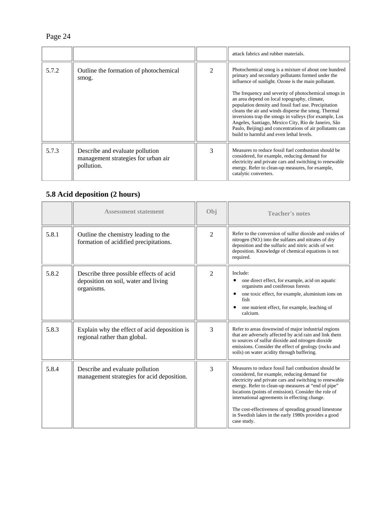|       |                                                                                      |                             | attack fabrics and rubber materials.                                                                                                                                                                                                                                                                                                                                                                                                                                                                                                                                                                              |
|-------|--------------------------------------------------------------------------------------|-----------------------------|-------------------------------------------------------------------------------------------------------------------------------------------------------------------------------------------------------------------------------------------------------------------------------------------------------------------------------------------------------------------------------------------------------------------------------------------------------------------------------------------------------------------------------------------------------------------------------------------------------------------|
| 5.7.2 | Outline the formation of photochemical<br>smog.                                      | $\mathcal{D}_{\mathcal{L}}$ | Photochemical smog is a mixture of about one hundred<br>primary and secondary pollutants formed under the<br>influence of sunlight. Ozone is the main pollutant.<br>The frequency and severity of photochemical smogs in<br>an area depend on local topography, climate,<br>population density and fossil fuel use. Precipitation<br>cleans the air and winds disperse the smog. Thermal<br>inversions trap the smogs in valleys (for example, Los<br>Angeles, Santiago, Mexico City, Rio de Janeiro, São<br>Paulo, Beijing) and concentrations of air pollutants can<br>build to harmful and even lethal levels. |
| 5.7.3 | Describe and evaluate pollution<br>management strategies for urban air<br>pollution. | $\mathcal{R}$               | Measures to reduce fossil fuel combustion should be<br>considered, for example, reducing demand for<br>electricity and private cars and switching to renewable<br>energy. Refer to clean-up measures, for example,<br>catalytic converters.                                                                                                                                                                                                                                                                                                                                                                       |

# **5.8 Acid deposition (2 hours)**

|       | <b>Assessment statement</b>                                                                   | Obi            | <b>Teacher's notes</b>                                                                                                                                                                                                                                                                                                                                                                                                                                        |
|-------|-----------------------------------------------------------------------------------------------|----------------|---------------------------------------------------------------------------------------------------------------------------------------------------------------------------------------------------------------------------------------------------------------------------------------------------------------------------------------------------------------------------------------------------------------------------------------------------------------|
| 5.8.1 | Outline the chemistry leading to the<br>formation of acidified precipitations.                | $\mathfrak{D}$ | Refer to the conversion of sulfur dioxide and oxides of<br>nitrogen (NO <sub>x</sub> ) into the sulfates and nitrates of dry<br>deposition and the sulfuric and nitric acids of wet<br>deposition. Knowledge of chemical equations is not<br>required.                                                                                                                                                                                                        |
| 5.8.2 | Describe three possible effects of acid<br>deposition on soil, water and living<br>organisms. | $\mathfrak{D}$ | Include:<br>one direct effect, for example, acid on aquatic<br>organisms and coniferous forests<br>one toxic effect, for example, aluminium ions on<br>$\bullet$<br>fish<br>one nutrient effect, for example, leaching of<br>calcium.                                                                                                                                                                                                                         |
| 5.8.3 | Explain why the effect of acid deposition is<br>regional rather than global.                  | 3              | Refer to areas downwind of major industrial regions<br>that are adversely affected by acid rain and link them<br>to sources of sulfur dioxide and nitrogen dioxide<br>emissions. Consider the effect of geology (rocks and<br>soils) on water acidity through buffering.                                                                                                                                                                                      |
| 5.8.4 | Describe and evaluate pollution<br>management strategies for acid deposition.                 | 3              | Measures to reduce fossil fuel combustion should be.<br>considered, for example, reducing demand for<br>electricity and private cars and switching to renewable<br>energy. Refer to clean-up measures at "end of pipe"<br>locations (points of emission). Consider the role of<br>international agreements in effecting change.<br>The cost-effectiveness of spreading ground limestone<br>in Swedish lakes in the early 1980s provides a good<br>case study. |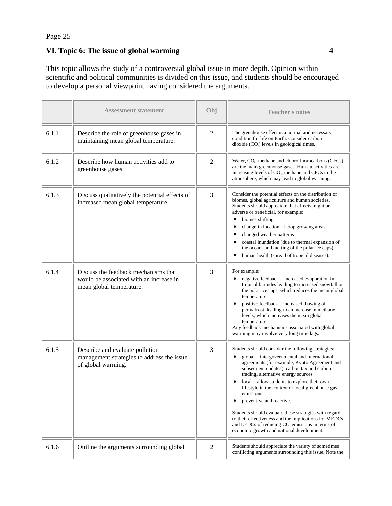### **VI. Topic 6: The issue of global warming 4**

This topic allows the study of a controversial global issue in more depth. Opinion within scientific and political communities is divided on this issue, and students should be encouraged to develop a personal viewpoint having considered the arguments.

|       | <b>Assessment statement</b>                                                                                 | Obj            | <b>Teacher's notes</b>                                                                                                                                                                                                                                                                                                                                                                                                                                                                                                                                                                                             |
|-------|-------------------------------------------------------------------------------------------------------------|----------------|--------------------------------------------------------------------------------------------------------------------------------------------------------------------------------------------------------------------------------------------------------------------------------------------------------------------------------------------------------------------------------------------------------------------------------------------------------------------------------------------------------------------------------------------------------------------------------------------------------------------|
| 6.1.1 | Describe the role of greenhouse gases in<br>maintaining mean global temperature.                            | $\overline{2}$ | The greenhouse effect is a normal and necessary<br>condition for life on Earth. Consider carbon<br>$dioxide (CO2) levels in geological times.$                                                                                                                                                                                                                                                                                                                                                                                                                                                                     |
| 6.1.2 | Describe how human activities add to<br>greenhouse gases.                                                   | $\overline{2}$ | Water, CO <sub>2</sub> , methane and chlorofluorocarbons (CFCs)<br>are the main greenhouse gases. Human activities are<br>increasing levels of CO <sub>2</sub> , methane and CFCs in the<br>atmosphere, which may lead to global warming.                                                                                                                                                                                                                                                                                                                                                                          |
| 6.1.3 | Discuss qualitatively the potential effects of<br>increased mean global temperature.                        | 3              | Consider the potential effects on the distribution of<br>biomes, global agriculture and human societies.<br>Students should appreciate that effects might be<br>adverse or beneficial, for example:<br>biomes shifting<br>$\bullet$<br>change in location of crop growing areas<br>٠<br>changed weather patterns<br>$\bullet$<br>coastal inundation (due to thermal expansion of<br>٠<br>the oceans and melting of the polar ice caps)<br>human health (spread of tropical diseases).<br>٠                                                                                                                         |
| 6.1.4 | Discuss the feedback mechanisms that<br>would be associated with an increase in<br>mean global temperature. | 3              | For example:<br>negative feedback—increased evaporation in<br>tropical latitudes leading to increased snowfall on<br>the polar ice caps, which reduces the mean global<br>temperature<br>positive feedback—increased thawing of<br>$\bullet$<br>permafrost, leading to an increase in methane<br>levels, which increases the mean global<br>temperature.<br>Any feedback mechanisms associated with global<br>warming may involve very long time lags.                                                                                                                                                             |
| 6.1.5 | Describe and evaluate pollution<br>management strategies to address the issue<br>of global warming.         | 3              | Students should consider the following strategies:<br>global—intergovernmental and international<br>agreements (for example, Kyoto Agreement and<br>subsequent updates), carbon tax and carbon<br>trading, alternative energy sources<br>local-allow students to explore their own<br>lifestyle in the context of local greenhouse gas<br>emissions<br>preventive and reactive.<br>٠<br>Students should evaluate these strategies with regard<br>to their effectiveness and the implications for MEDCs<br>and LEDCs of reducing CO <sub>2</sub> emissions in terms of<br>economic growth and national development. |
| 6.1.6 | Outline the arguments surrounding global                                                                    | 2              | Students should appreciate the variety of sometimes<br>conflicting arguments surrounding this issue. Note the                                                                                                                                                                                                                                                                                                                                                                                                                                                                                                      |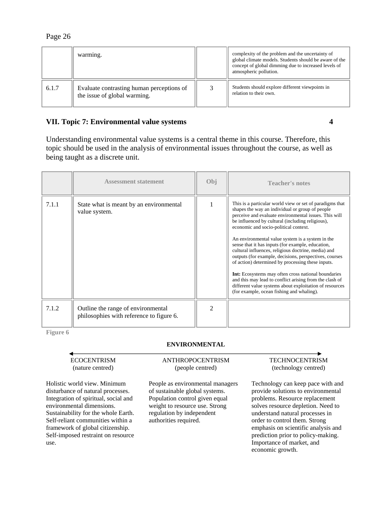|       | warming.                                                                  | complexity of the problem and the uncertainty of<br>global climate models. Students should be aware of the<br>concept of global dimming due to increased levels of<br>atmospheric pollution. |
|-------|---------------------------------------------------------------------------|----------------------------------------------------------------------------------------------------------------------------------------------------------------------------------------------|
| 6.1.7 | Evaluate contrasting human perceptions of<br>the issue of global warming. | Students should explore different viewpoints in<br>relation to their own.                                                                                                                    |

### **VII. Topic 7: Environmental value systems 4**

Understanding environmental value systems is a central theme in this course. Therefore, this topic should be used in the analysis of environmental issues throughout the course, as well as being taught as a discrete unit.

|       | <b>Assessment statement</b>                                                    | Obj                         | <b>Teacher's notes</b>                                                                                                                                                                                                                                                                                                                                                                                                                                                                                                                                                                                                                                                                                                                                                            |
|-------|--------------------------------------------------------------------------------|-----------------------------|-----------------------------------------------------------------------------------------------------------------------------------------------------------------------------------------------------------------------------------------------------------------------------------------------------------------------------------------------------------------------------------------------------------------------------------------------------------------------------------------------------------------------------------------------------------------------------------------------------------------------------------------------------------------------------------------------------------------------------------------------------------------------------------|
| 7.1.1 | State what is meant by an environmental<br>value system.                       |                             | This is a particular world view or set of paradigms that<br>shapes the way an individual or group of people<br>perceive and evaluate environmental issues. This will<br>be influenced by cultural (including religious),<br>economic and socio-political context.<br>An environmental value system is a system in the<br>sense that it has inputs (for example, education,<br>cultural influences, religious doctrine, media) and<br>outputs (for example, decisions, perspectives, courses<br>of action) determined by processing these inputs.<br><b>Int:</b> Ecosystems may often cross national boundaries<br>and this may lead to conflict arising from the clash of<br>different value systems about exploitation of resources<br>(for example, ocean fishing and whaling). |
| 7.1.2 | Outline the range of environmental<br>philosophies with reference to figure 6. | $\mathcal{D}_{\mathcal{A}}$ |                                                                                                                                                                                                                                                                                                                                                                                                                                                                                                                                                                                                                                                                                                                                                                                   |

**Figure 6** 

#### **ENVIRONMENTAL**

#### ECOCENTRISM (nature centred)

Holistic world view. Minimum disturbance of natural processes. Integration of spiritual, social and environmental dimensions. Sustainability for the whole Earth. Self-reliant communities within a framework of global citizenship. Self-imposed restraint on resource use.

#### ANTHROPOCENTRISM (people centred)

People as environmental managers of sustainable global systems. Population control given equal weight to resource use. Strong regulation by independent authorities required.

#### TECHNOCENTRISM (technology centred)

Technology can keep pace with and provide solutions to environmental problems. Resource replacement solves resource depletion. Need to understand natural processes in order to control them. Strong emphasis on scientific analysis and prediction prior to policy-making. Importance of market, and economic growth.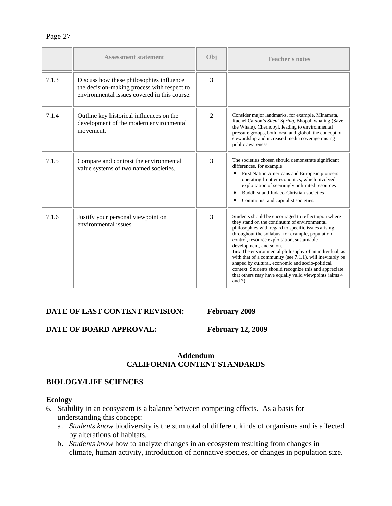|       | <b>Assessment statement</b>                                                                                                             | Obi            | <b>Teacher's notes</b>                                                                                                                                                                                                                                                                                                                                                                                                                                                                                                                                                                                      |
|-------|-----------------------------------------------------------------------------------------------------------------------------------------|----------------|-------------------------------------------------------------------------------------------------------------------------------------------------------------------------------------------------------------------------------------------------------------------------------------------------------------------------------------------------------------------------------------------------------------------------------------------------------------------------------------------------------------------------------------------------------------------------------------------------------------|
| 7.1.3 | Discuss how these philosophies influence<br>the decision-making process with respect to<br>environmental issues covered in this course. | 3              |                                                                                                                                                                                                                                                                                                                                                                                                                                                                                                                                                                                                             |
| 7.1.4 | Outline key historical influences on the<br>development of the modern environmental<br>movement.                                        | $\overline{2}$ | Consider major landmarks, for example, Minamata,<br>Rachel Carson's Silent Spring, Bhopal, whaling (Save<br>the Whale), Chernobyl, leading to environmental<br>pressure groups, both local and global, the concept of<br>stewardship and increased media coverage raising<br>public awareness.                                                                                                                                                                                                                                                                                                              |
| 7.1.5 | Compare and contrast the environmental<br>value systems of two named societies.                                                         | 3              | The societies chosen should demonstrate significant<br>differences, for example:<br>First Nation Americans and European pioneers<br>operating frontier economics, which involved<br>exploitation of seemingly unlimited resources<br>Buddhist and Judaeo-Christian societies<br>$\bullet$<br>Communist and capitalist societies.                                                                                                                                                                                                                                                                            |
| 7.1.6 | Justify your personal viewpoint on<br>environmental issues.                                                                             | 3              | Students should be encouraged to reflect upon where<br>they stand on the continuum of environmental<br>philosophies with regard to specific issues arising<br>throughout the syllabus, for example, population<br>control, resource exploitation, sustainable<br>development, and so on.<br><b>Int:</b> The environmental philosophy of an individual, as<br>with that of a community (see 7.1.1), will inevitably be<br>shaped by cultural, economic and socio-political<br>context. Students should recognize this and appreciate<br>that others may have equally valid viewpoints (aims 4)<br>and $7$ ). |

#### DATE OF LAST CONTENT REVISION: February 2009

### **DATE OF BOARD APPROVAL:** February 12, 2009

### **Addendum CALIFORNIA CONTENT STANDARDS**

#### **BIOLOGY/LIFE SCIENCES**

#### **Ecology**

- 6. Stability in an ecosystem is a balance between competing effects. As a basis for understanding this concept:
	- a. *Students know* biodiversity is the sum total of different kinds of organisms and is affected by alterations of habitats.
	- b. *Students know* how to analyze changes in an ecosystem resulting from changes in climate, human activity, introduction of nonnative species, or changes in population size.